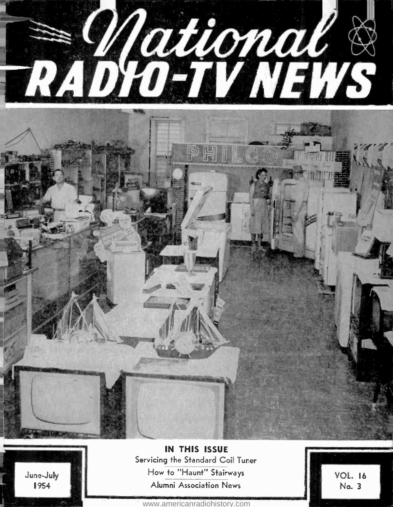



IN THIS ISSUE Servicing the Standard Coil Tuner How to "Haunt" Stairways Alumni Association News

VOL. 16 No. 3

<www.americanradiohistory.com>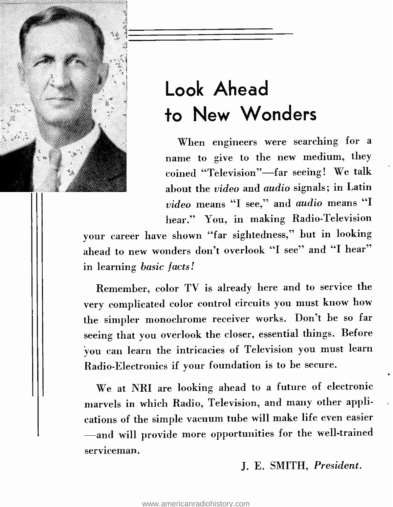

# Look Ahead to New Wonders

When engineers were searching for a name to give to the new medium, they coined "Television"-far seeing! We talk about the video and audio signals; in Latin video means "I see," and audio means "I hear." You, in making Radio-Television

your career have shown "far sightedness," but in looking ahead to new wonders don't overlook "I see" and "I hear" in learning basic facts!

Remember, color TV is already here and to service the very complicated color control circuits you must know how the simpler monochrome receiver works. Don't be so far seeing that you overlook the closer, essential things. Before you can learn the intricacies of Television you must learn Radio -Electronics if your foundation is to be secure.

We at NRI are looking ahead to a future of electronic marvels in which Radio, Television, and many other applications of the simple vacuum tube will make life even easier -and will provide more opportunities for the well-trained serviceman.

J. E. SMITH, President.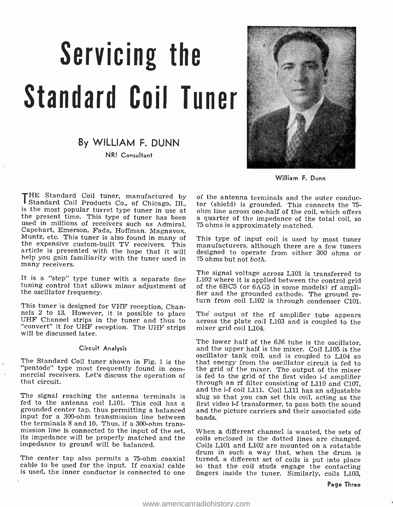# Servicing the Standard Coil Tuner

# By WILLIAM F. DUNN

NRI Consultant



William F. Dunn

THE Standard Coil tuner, manufactured by of the antenna terminals and the outer conductand Coil Products Co., of Chicago, Ill., tor (shield) is grounded. This connects the 75-<br>is the most popular turnet type tuner in use many receivers.

It is a "step" type tuner with a separate fine tuning control that allows minor adjustment of the oscillator frequency.

This tuner is designed for VHF reception, Channels 2 to 13. However, it is possible to place UHF Channel strips in the tuner and thus to "convert" it for UHF reception. The UHF strips will be discussed later.

### Circuit Analysis

The Standard Coil tuner shown in Fig. 1 is the "pentode" type most frequently found in com- mercial receivers. Let's discuss the operation of that circuit.

fed to the antenna coil L101. This coil has a grounded center tap, thus permitting a balanced input for a 300 -ohm transmission line between the terminals 8 and 10. Thus, if a 300 -ohm transmission line is connected to the input of the set, When a different channel is wanted, the sets of its impedance will be properly matched and the coils enclosed in the dotted lines are changed.<br>Inpedance to ground will be impedance to ground will be balanced.

The center tap also permits a 75-ohm coaxial turned, a different set of coils is put into place cable to be used for the input. If coaxial cable so that the coil studs engage the contacting is used, the inner conductor is connected to one

of the antenna terminals and the outer conductor (shield) is grounded. This connects the 75 a quarter of the impedance of the total coil, so

This type of input coil is used by most tuner designed to operate from either 300 ohms or

The signal voltage across L101 is transferred to L102 where it is applied between the control grid of the 6BC5 (or 6AG5 in some models) rf ampli-<br>fier and the grounded cathode. The ground re-<br>turn from coil L102 is through condenser C101.

The output of the rf amplifier tube appears across the plate coil L103 and is coupled to the mixer grid coil L104.

and the i-f coil L111. Coil L111 has an adjustable<br>The signal reaching the antenna terminals is slug so that you can set this coil, acting as the The lower half of the 6J6 tube is the oscillator,<br>and the upper half is the mixer. Coil L105 is the<br>oscillator tank coil, and is coupled to L104 so<br>that energy from the oscillator circuit is fed to<br>the grid of the mixer. T through an rf filter consisting of L110 and C107, first video i-f transformer, to pass both the sound and the picture carriers and their associated side bands.

cable to be used for the input. If coaxial cable so that the coil studs engage the contacting<br>is used, the inner conductor is connected to one fingers inside the tuner. Similarly, coils L103, When a different channel is wanted, the sets of coils enclosed in the dotted lines are changed. drum in such a way that, when the drum is turned, a different set of coils is put into place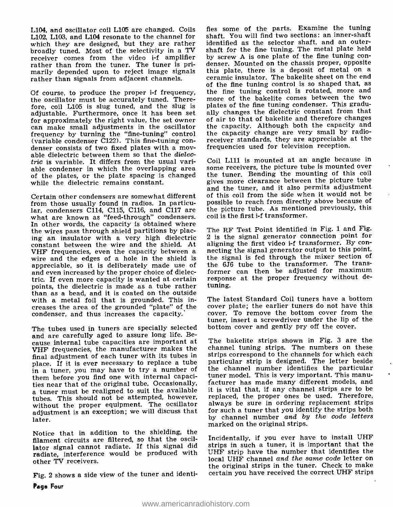L104, and oscillator coil L105 are changed. Coils L102, L103, and L104 resonate to the channel for shaft. You will find two sections: an inner-shaft<br>which they are designed, but they are rather sidentified as the selector shaft, and an outerwhich they are designed, but they are rather broadly tuned. Most of the selectivity in a TV shaft for the fine tuning. The metal plate held<br>receiver, comes, from, the video i-f, amplifier by screw A is one plate of the fine tuning conreceiver comes from the video i-f amplifier<br>rather than from the tuner. The tuner is primarily depended upon to reject image signals rather than signals from adjacent channels.

the oscillator must be accurately tuned. Therefore, coil L105 is slug tuned, and the slug is adjustable. Furthermore, once it has been set for approximately the right value, the set owner can make small adjustments in the oscillator frequency by turning the "fine-tuning" control the capacity change are very small by radio-<br>(variable condenser C122). This fine-tuning con-<br>receiver standards, they are appreciable at the (variable condenser  $\text{C122}$ ). This fine-tuning condenser consists of two fixed plates with a mov-<br>able dielectric between them so that the *dielec*tric is variable. It differs from the usual variable condenser in which the overlapping area some receivers, the picture tube is mounted over<br>of the plates, or the plate spacing is changed the tuner. Bending the mounting of this coil of the plates, or the plate spacing is changed while the dielectric remains constant.

Certain other condensers are somewhat different lar, condensers C114, C115, C116, and C117 are what are known as "feed-through" condensers. In other words, the capacity is obtained where the wires pass through shield partitions by placing an insulator with a very high dielectric constant between the wire and the shield. At aligning the first video i-f transformer. By con-<br>VHF frequencies, even the capacity between a mecting the signal generator output to this point. wire and the edges of a hole in the shield is appreciable, so it is deliberately made use of and even increased by the proper choice of dielectric. If even more capacity is wanted at certain points, the dielectric is made as a tube rather than as a bead, and it is coated on the outside<br>with a metal foil that is grounded. This in- The latest Standard Coil tuners have a bottom creases the area of the grounded "plate" of the cover plate; the earlier tuners do not have this condenser and thus increases the capacity. condenser, and thus increases the capacity.

The tubes used in tuners are specially selected bottom cover and gently pry off the cover. and are carefully aged to assure long life. Be- cause internal tube capacities are important at VHF frequencies, the manufacturer makes the final adjustment of each tuner with its tubes in place. If it is ever necessary to replace a tube in a tuner, you may have to try a number of them before you find one with internal capacities near that of the original tube. Occasionally, facturer has made many different models, and a tuner must be realigned to suit the available it is vital that, if any channel strips are to be tubes. This should not be attempted, however, without the proper equipment. The ocsillator adjustment is an exception; we will discuss that later.

Notice that in addition to the shielding, the filament circuits are filtered, so that the oscillator signal cannot radiate. If this signal did radiate, interference would be produced with other TV receivers.

Fig. 2 shows a side view of the tuner and identi-

Of course, to produce the proper i-f frequency, the fine tuning control is rotated, more and<br>the oscillator must be accurately tuned. There- more of the bakelite comes between the two fies some of the parts. Examine the tuning shaft. You will find two sections: an inner-shaft shaft for the fine tuning. The metal plate held denser. Mounted on the chassis proper, opposite this plate, there is a deposit of metal on a ceramic insulator. The bakelite sheet on the end of the fine tuning control is so shaped that, as plates of the fine tuning condenser. This gradually changes the dielectric constant from that of air to that of bakelite and therefore changes the capacity. Although both the capacity and the capacity change are very small by radiofrequencies used for television reception.

> Coil L111 is mounted at an angle because in gives more clearance between the picture tube and the tuner, and it also permits adjustment of this coil from the side when it would not be possible to reach from directly above because of the picture tube. As mentioned previously, this coil is the first i-f transformer.

> The RF Test Point identified in Fig. 1 and Fig. <sup>2</sup>is the signal generator connection point for aligning the first video i-f transformer. By conthe signal is fed through the mixer section of the 6J6 tube to the transformer. The transformer can then be adjusted for maximum response at the proper frequency without detuning.

> cover plate; the earlier tuners do not have this tuner, insert a screwdriver under the lip of the

> The bakelite strips shown in Fig. 3 are the channel tuning strips. The numbers on these strips correspond to the channels for which each particular strip is designed. The letter beside the channel number identifies the particular tuner model. This is very important. This manuit is vital that, if any channel strips are to be replaced, the proper ones be used. Therefore, always be sure in ordering replacement strips for such a tuner that you identify the strips both by channel number and by the code letters marked on the original strips.

> Incidentally, if you ever have to install UHF strips in such a tuner, it is important that the UHF strip have the number that identifies the local UHF channel and the same code letter on the original strips in the tuner. Check to make certain you have received the correct UHF strips

Page Four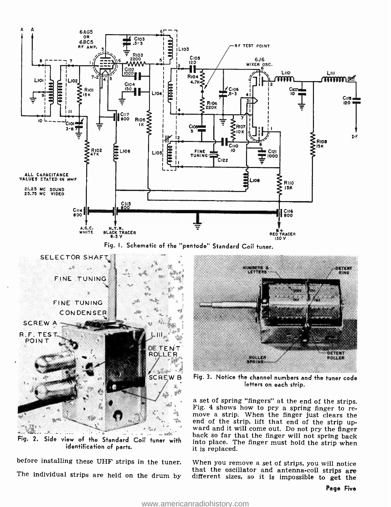

Fig. I. Schematic of the "pentode" Standard Coil tuner.



identification of parts.

before installing these UHF strips in the tuner. When you remove a set of strips, you will notice<br>that the oscillator and antenna-coil strips are<br>The individual strips are held on the drum by different sizes, so it is impo



SCREW B Fig. 3. Notice the channel numbers and the tuner code letters on each strip.

Fig. 2. Side view of the Standard Coil tuner with into place. The finger must hold the strip when a set of spring "fingers" at the end of the strips.<br>Fig. 4 shows how to pry a spring finger to re-<br>move a strip. When the finger just clears the<br>end of the strip, lift that end of the strip upward and it will come out. Do not pry the finger into place. The finger must hold the strip when it is replaced.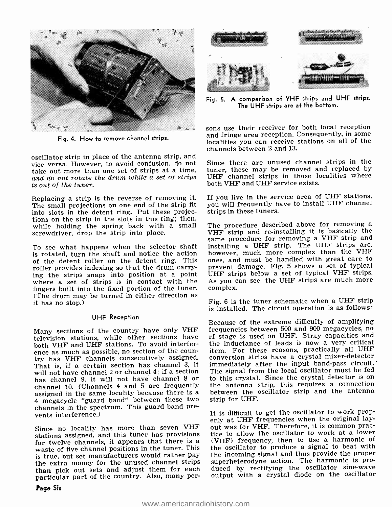

Fig. 4. How to remove channel strips.

oscillator strip in place of the antenna strip, and vice versa. However, to avoid confusion, do not take out more than one set of strips at a time, and do not rotate the drum while a set of strips is out of the tuner.

Replacing a strip is the reverse of removing it. The small projections on one end of the strip fit into slots in the detent ring. Put these projections on the strip in the slots in this ring; then,<br>while, holding, the spring back, with a small. The procedure described above for removing a while holding the spring back with a small screwdriver, drop the strip into place.

To see what happens when the selector shaft is rotated, turn the shaft and notice the action of the detent roller on the detent ring. This roller provides indexing so that the drum carrying the strips snaps into position at a point where a set of strips is in contact with the As you contact the fixed portion of the tuner. complex. fingers built into the fixed portion of the tuner. (The drum may be turned in either direction as it has no stop.)

### UHF Reception

television stations, while other sections have<br>both VHF and UHF stations. To avoid interference as much as possible, no section of the coun-<br>try has VHF channels consecutively assigned. That is, if a certain section has channel 3, it will not have channel 2 or channel 4; if a section — The signal from the local oscillator must be fed<br>has channel 9, it will not have channel 8 or — to this crystal. Since the crystal detector is on channel 10. (Channels 4 and 5 are frequently assigned in the same locality because there is a <sup>4</sup>megacycle "guard band" between these two channels in the spectrum. This guard band prevents interference.)

Since no locality has more than seven VHF stations assigned, and this tuner has provisions for twelve channels, it appears that there is a waste of five channel positions in the tuner. This is true, but set manufacturers would rather pay the extra money for the unused channel strips than pick out sets and adjust them for each duced by rectifying the oscillator sine-wave<br>particular part of the country. Also, many per- output with a crystal diode on the oscillator particular part of the country. Also, many per-



Fig. 5. A comparison of VHF strips and UHF strips. The UHF strips are at the bottom.

sons use their receiver for both local reception<br>and fringe area reception. Consequently, in some localities you can receive stations on all of the channels between 2 and 13.

Since there are unused channel strips in the tuner, these may be removed and replaced by UHF channel strips in those localities where both VHF and UHF service exists.

If you live in the service area of UHF stations, you will frequently have to install UHF channel strips in these tuners.

same procedure for removing a VHF strip and installing a UHF strip. The UHF strips are, however, much more complex than the VHF ones, and must be handled with great care to prevent damage. Fig. 5 shows a set of typical UHF strips below a set of typical VHF strips. As you can see, the UHF strips are much more

Fig. 6 is the tuner schematic when a UHF strip is installed. The circuit operation is as follows:

Many sections of the country have only VHF – frequencies between 500 and 900 megacycles, no<br>television, stations, while other sections, have – rf stage is used on UHF. Stray capacities and Because of the extreme difficulty of amplifying frequencies between 500 and 900 megacycles, no the inductance of leads is now a very critical item. For these reasons, practically all UHF conversion strips have a crystal mixer -detector immediately after the input band-pass circuit.' The signal from the local oscillator must be fed the antenna strip, this requires a connection between the oscillator strip and the antenna strip for UHF.

> It is difficult to get the oscillator to work properly at UHF frequencies when the original layout was for VHF. Therefore, it is common practice to allow the oscillator to work at a lower (VHF) frequency, then to use a harmonic of the oscillator to produce a signal to beat with the incoming signal and thus provide the proper superheterodyne action. The harmonic is produced by rectifying the oscillator sine-wave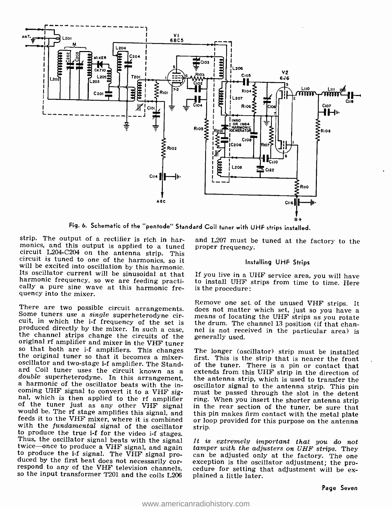

Fig. 6. Schematic of the "pentode" Standard Coil tuner with UHF strips installed.

strip. The output of a rectifier is rich in harmonics, and this output is applied to a tuned circuit L204-C204 on the antenna strip. This circuit is tuned to one of the harmonics, so it will be excited into oscillation by this harmonic. Its oscillator current will be sinusoidal at that harmonic frequency, so we are feeding practically a pure sine wave at this harmonic frequency into the mixer.

There are two possible circuit arrangements. Some tuners use a *single* superheterodyne circuit, in which the i-f frequency of the set is produced directly by the mixer. In such a case, the channel strips change the circuits of the original rf amplifier and mixer in the VHF tuner so that both are i-f amplifiers. This changes the original tuner so that it becomes a mixeroscillator and two-stage i-f amplifier. The Standard Coil tuner uses the circuit known as a double superheterodyne. In this arrangement, a harmonic of the oscillator beats with the incoming UHF signal to convert it to a VHF signal, which is then applied to the rf amplifier of the tuner just as any other VHF signal would be. The rf stage amplifies this signal, and feeds it to the VHF mixer, where it is combined with the *fundamental* signal of the oscillator to produce the true i-f for the video i-f stages. Thus, the oscillator signal beats with the signal twice-once to produce a VHF signal, and again to produce the i-f signal. The VHF signal produced by the first beat does not necessarily correspond to any of the VHF television channels. so the input transformer T201 and the coils L206

and L207 must be tuned at the factory to the proper frequency.

#### Installing UHF Strips

If you live in a UHF service area, you will have to install UHF strips from time to time. Here is the procedure:

Remove one set of the unused VHF strips. It does not matter which set, just so you have a means of locating the UHF strips as you rotate the drum. The channel 13 position (if that channel is not received in the particular area) is generally used.

The longer (oscillator) strip must be installed first. This is the strip that is nearer the front of the tuner. There is a pin or contact that extends from this UHF strip in the direction of the antenna strip, which is used to transfer the oscillator signal to the antenna strip. This pin must be passed through the slot in the detent ring. When you insert the shorter antenna strip in the rear section of the tuner, be sure that this pin makes firm contact with the metal plate or loop provided for this purpose on the antenna strip.

It is extremely important that you do not tamper with the adjusters on UHF strips. They can be adjusted only at the factory. The one exception is the oscillator adjustment; the procedure for setting that adjustment will be explained a little later.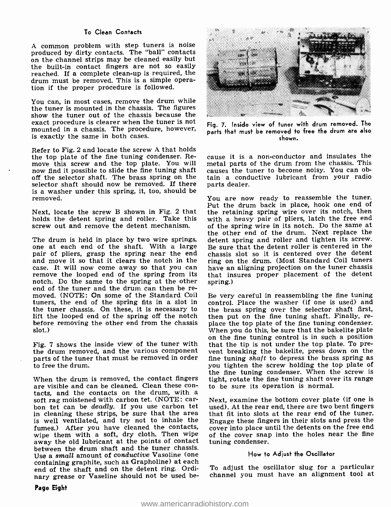### To Clean Contacts

A common problem with step tuners is noise produced by dirty contacts. The "ball" contacts on the channel strips may be cleaned easily but the built-in contact fingers are not so easily reached. If a complete clean-up is required, the drum must be removed. This is a simple operation if the proper procedure is followed.

You can, in most cases, remove the drum while the tuner is mounted in the chassis. The figures show the tuner out of the chassis because the exact procedure is clearer when the tuner is not mounted in a chassis. The procedure, however, is exactly the same in both cases.

Refer to Fig. 2 and locate the screw A that holds the top plate of the fine tuning condenser. Re-<br>move this screw and the top plate. You will metal parts of the drum from the chassis. This<br>now find it possible to slide the fine tuning shaft causes the tuner to become nois off the selector shaft. The brass spring on the selector shaft should now be removed. If there is a washer under this spring, it, too, should be removed.

Next, locate the screw B shown in Fig. 2 that holds the detent spring and roller. Take this screw out and remove the detent mechanism.

The drum is held in place by two wire springs, detent spring and roller and tighten its screw.<br>
one at each end of the shaft. With a large pair of pliers, grasp the spring near the end correction the pline<br>
pair of pliers, case. It will now come away so that you can remove the looped end of the spring from its notch. Do the same to the spring at the other moved. (NOTE: On some of the Standard Coil tuners, the end of the spring fits in a slot in the tuner chassis. On these, it is necessary to the brass spring over the selector shaft first, lift the looped end of the spring off the notch then put on the fine tuning shaft. Finally, relift the looped end of the spring off the notch before removing the other end from the chassis place the top plate of the fine tuning condenser.<br>Slot.) When you do this, be sure that the bakelite plate slot.)

the drum removed, and the various component vent breaking the bakelite, press down on the parts of the tuner that must be removed in order fine tuning shaft to depress the brass spring as parts of the tuner that must be removed in order to free the drum.

When the drum is removed, the contact fingers<br>are visible and can be cleaned. Clean these contacts, and the contacts on the drum, with a<br>soft rag moistened with carbon tet. (NOTE: car-<br>bon tet can be deadly. If you use carbon tet used). At the rear end, there are two bent fingers<br>in cleaning these strips, be sure in cleaning these strips, be sure that the area is well ventilated, and try not to inhale the  $E_{\text{Hgage}}$  these fingers in their slots and press the fumes.) After you have cleaned the contacts, cover into place until the detents on the free end fumes.) After you have cleaned the contacts, wipe them with a soft, dry cloth. Then wipe away the old lubricant at the points of contact between the drum shaft and the tuner chassis. Use a small amount of conductive Vasoline (one containing graphite, such as Grapholine) at each end of the shaft and on the detent ring. Ordinary grease or Vaseline should not be used be-



Fig. 7. Inside view of tuner with drum removed. The parts that must be removed to free the drum are also shown.

cause it is a non -conductor and insulates the causes the tuner to become noisy. You can obtain a conductive lubricant from your radio parts dealer.

You are now ready to reassemble the tuner. Put the drum back in place, hook one end of the retaining spring wire over its notch, then with a heavy pair of pliers, latch the free end of the spring wire in its notch. Do the same at the other end of the drum. Next replace the detent spring and roller and tighten its screw. chassis slot so it is centered over the detent ring on the drum. (Most Standard Coil tuners have an aligning projection on the tuner chassis that insures proper placement of the detent spring.)

Fig. 7 shows the inside view of the tuner with that the tip is not under the top plate. To pre-Be very careful in reassembling the fine tuning control. Place the washer (if one is used) and the brass spring over the selector shaft first, place the top plate of the fine tuning condenser. on the fine tuning control is in such a position vent breaking the bakelite, press down on the you tighten the screw holding the top plate of the fine tuning condenser. When the screw is tight, rotate the fine tuning shaft over its range to be sure its operation is normal.

> Next, examine the bottom cover plate (if one is used). At the rear end, there are two bent fingers Engage these fingers in their slots and press the of the cover snap into the holes near the fine tuning condenser.

### How to Adjust the Oscillator

To adjust the oscillator slug for a particular channel you must have an alignment tool at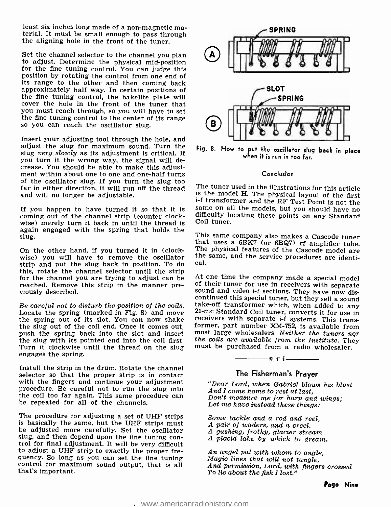least six inches long made of a non -magnetic ma- terial. It must be small enough to pass through the aligning hole in the front of the tuner.

Set the channel selector to the channel you plan to adjust. Determine the physical mid -position for the fine tuning control. You can judge this position by rotating the control from one end of its range to the other and then coming back approximately half way. In certain positions of the fine tuning control, the bakelite plate will cover the hole in the front of the tuner that you must reach through, so you will have to set the fine tuning control to the center of its range so you can reach the oscillator slug.

Insert your adjusting tool through the hole, and adjust the slug for maximum sound. Turn the slug very slowly as its adjustment is critical. If you turn it the wrong way, the signal will decrease. You should be able to make this adjustment within about one to one and one-half turns of the oscillator slug. If you turn the slug too far in either direction, it will run off the thread The tuner used in the illustrations for this article<br>and will no longer be adjustable. The model H. The physical layout of the first and will no longer be adjustable.

coming out of the channel strip (counter clockwise) merely turn it back in until the thread is again engaged with the spring that holds the slug.

On the other hand, if you turned it in (clockstrip and put the slug back in position. To do this, rotate the channel selector until the strip<br>for the channel you are trying to adjust can be<br> $\frac{1}{2}$  at one time the company made a special model<br>reached. Remove this strip in the manner pre-<br>of their tuner for use reached. Remove this strip in the manner pre- viously described.

the spring out of its slot. You can now shake receivers with separate i-f systems. This trans-<br>the slug out of the coil end. Once it comes out, former, part number XM-752, is available from the slug out of the coil end. Once it comes out, push the spring back into the slot and insert most large wholesalers. Neither the tuners nor the slug with its pointed end into the coil first, the coils are available from the Institute. They the slug with its pointed end into the coil first. the coils are available from the Institute. The Turn it clockwise until the thread on the slug must be purchased from a radio wholesaler. Turn it clockwise until the thread on the slug engages the spring.

Install the strip in the drum. Rotate the channel selector so that the proper strip is in contact<br>with the fingers and continue your adjustment procedure. Be careful not to run the slug into the coil too far again. This same procedure can be repeated for all of the channels.

The procedure for adjusting a set of UHF strips is basically the same, but the UHF strips must be adjusted more carefully. Set the oscillator slug, and then depend upon the fine tuning con- trol for final adjustment. It will be very difficult to adjust a UHF strip to exactly the proper frecontrol for maximum sound output, that is all that's important.



Fig. 8. How to put the oscillator slug back in place when it is run in to far.

#### Conclusion

If you happen to have turned it so that it is same on all the models, but you should have no coming out of the channel strip (counter clock-<br>difficulty locating these points on any Standard The tuner used in the illustrations for this article i-f transformer and the RF Test Point is not the Coil tuner.

On the other hand, if you turned it in (clock-<br>wise) you will have to remove the oscillator<br>the same, and the service procedures are identi-<br>extrip and put the slug hack in position. To do cal. This same company also makes a Cascode tuner that uses a 6BK7 (or 6BQ7) rf amplifier tube.

Be careful not to disturb the position of the coils. <br>Be careful not to disturb the position of the coils. <br>Locate the spring (marked in Fig. 8) and move  $21$ -mc Standard Coil tuner, converts it for use in At one time the company made a special model sound and video i-f sections. They have now dismost large wholesalers. Neither the tuners nor



 $-$ n r i

### The Fisherman's Prayer

"Dear Lord, when Gabriel blows his blast Don't measure me for harp and wings;<br>Let me have instead these things:

Some tackle and a rod and reel, <sup>A</sup>pair of waders, and a creel. <sup>A</sup>gushing, frothy, glacier stream <sup>A</sup>placid lake by which to dream,

An angel pal with whom to angle, Magic lines that will not tangle, And permission, Lord, with fingers crossed To lie about the fish I lost."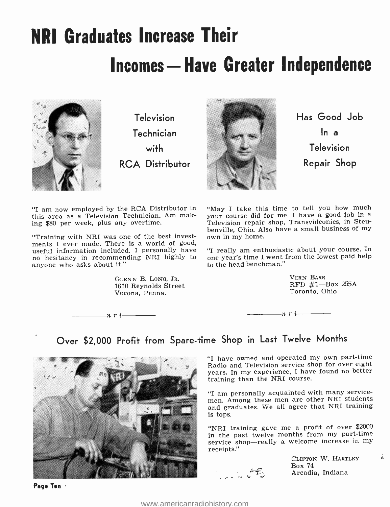# NRI Graduates Increase Their **Incomes - Have Greater Independence**



Television Technician with RCA Distributor



Has Good Job  $\ln a$ Television Repair Shop

this area as a Television Technician. Am making \$80 per week, plus any overtime.

"Training with NRI was one of the best invest-ments I ever made. There is a world of good, useful information included. I personally have  $\eta$  really am enthusiastic about your course. In no hesitancy in recommending NRI highly to one year's time I went from the lowest paid help anyone who asks about it."

 $\frac{1}{n}$  r i  $\frac{1}{n}$ 

GLENN B. LONG, JR. 1610 Reynolds Street Verona, Penna.

"I am now employed by the RCA Distributor in "May I take this time to tell you how much<br>this area as a Television Technician. Am mak-your course did for me. I have a good job in a "May I take this time to tell you how much Television repair shop, Transvideonics, in Steubenville, Ohio. Also have a small business of my own in my home.

> "I really am enthusiastic about your course. In to the head benchman."

> > VERN BARR<br>RFD  $#1$ -Box 255A Toronto, Ohio

 $n r i$ 

# Over \$2,000 Profit from Spare -time Shop in Last Twelve Months



"I have owned and operated my own part-time Radio and Television service shop for over eight years. In my experience, I have found no better<br>training than the NRI course.

"I am personally acquainted with many service-<br>men. Among these men are other NRI students and graduates. We all agree that NRI training is tops.

"NRI training gave me a profit of over \$2000 in the past twelve months from my part-time service shop-really a welcome increase in my receipts."



CLIFTON W. HARTLEY Box <sup>74</sup> Arcadia, Indiana

 $\cdot$ 

Page Ten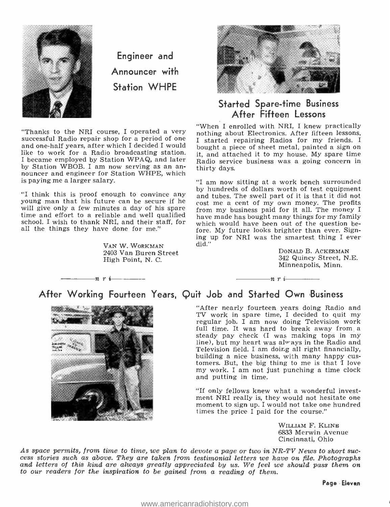

Engineer and Announcer with Station WHPE

"Thanks to the NRI course, I operated a very nothing about Electronics. After fifteen lessons, successful Radio repair shop for a period of one is started repairing Badios for my friends. and one-half years, after which I decided I would bought a piece of sheet metal, painted a sign on like to work for a Radio broadcasting station. I became employed by Station WPAQ, and later nouncer and engineer for Station WHPE, which is paying me a larger salary.

"I think this is proof enough to convince any and tubes. The swell part of it is that it did not young man that his future can be secure if he will give only a few minutes a day of his spare will give only a few minutes a day of his spare from my business paid for it all. The money I time and effort to a reliable and well qualified have made has bought many things for my family school. I wish to thank NRI, an all the things they have done for me."

 $n r i$ 

VAN W. WORKMAN 2403 Van Buren Street High Point, N. C.



### Started Spare-time Business After Fifteen Lessons

"When I enrolled with NRI, I knew practically I started repairing Radios for my friends. I it, and attached it to my house. My spare time Radio service business was a going concern in thirty days.

"I am now sitting at a work bench surrounded by hundreds of dollars worth of test equipment cost me a cent of my own money. The profits which would have been out of the question be-<br>fore. My future looks brighter than ever. Signing up for NRI was the smartest thing I ever. did."

 $n r i$ 

DONALD B. ACKERMAN 342 Quincy Street, N.E. Minneapolis, Minn.

### After Working Fourteen Years, Quit Job and Started Own Business



"After nearly fourteen years doing Radio and TV work in spare time, I decided to quit my regular job. I am now doing Television work full time. It was hard to break away from a steady pay check (I was making tops in my line), but my heart was alv ays in the Radio and Television field. I am doing all right financially, building a nice business, with many happy customers. But, the big thing to me is that I love my work. I am not just punching a time clock and putting in time.

"If only fellows knew what a wonderful investmoment to sign up. I would not take one hundred times the price I paid for the course."

> WILLIAM F. KLINE 6833 Merwin Avenue Cincinnati, Ohio

As space permits, from time to time, we plan to devote a page or two in NR-TV News to short success stories such as above. They are taken from testimonial letters we have on file. Photographs and letters of this kind are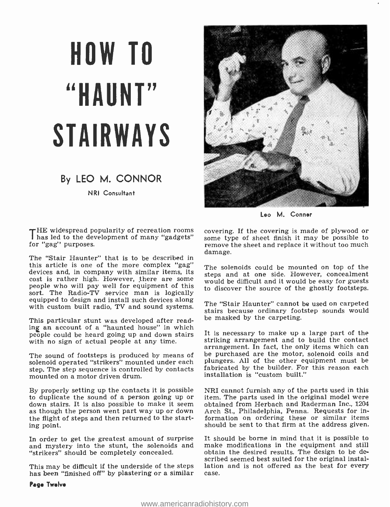# HOW TO "HAUNT" STAIRWAYS

## By LEO M. CONNOR

NRI Consultant

THE widespread popularity of recreation rooms has led to the development of many "gadgets" for "gag" purposes.

The "Stair Haunter" that is to be described in this article is one of the more complex "gag" devices and, in company with similar items, its cost is rather high. However, there are some people who will pay well for equipment of this sort. The Radio-TV service man is logically equipped to design and install such devices along equipped to design and install such devices along The "Stair Haunter" cannot be used on carpeted with custom built radio, TV and sound systems.

This particular stunt was developed after reading an account of a "haunted house" in which people could be heard going up and down stairs with no sign of actual people at any time.

solenoid operated "strikers" mounted under each step. The step sequence is controlled by contacts mounted on a motor driven drum.

By properly setting up the contacts it is possible<br>to duplicate the sound of a person going up or down stairs. It is also possible to make it seem obtained from Herbach and Raderman Inc., 1204 as though the person went part way up or down Arch St., Philadelphia, Penna. Requests for inthe flight of steps and then returned to the starting point.

In order to get the greatest amount of surprise and mystery into the stunt, the solenoids and "strikers" should be completely concealed.

This may be difficult if the underside of the steps lation<br>has been "finished off" by plastering or a similar case. has been "finished off" by plastering or a similar



Leo M. Conner

covering. If the covering is made of plywood or some type of sheet finish it may be possible to remove the sheet and replace it without too much damage.

The solenoids could be mounted on top of the steps and at one side. However, concealment would be difficult and it would be easy for guests to discover the source of the ghostly footsteps.

stairs because ordinary footstep sounds would be masked by the carpeting.

The sound of footsteps is produced by means of be purchased are the motor, solenoid coils and It is necessary to make up a large part of the striking arrangement and to build the contact arrangement. In fact, the only items which can plungers. All of the other equipment must be fabricated by the builder. For this reason each installation is "custom built."

> NRI cannot furnish any of the parts used in this item. The parts used in the original model were Arch St., Philadelphia, Penna. Requests for information on ordering these or similar items should be sent to that firm at the address given.

> It should be borne in mind that it is possible to make modifications in the equipment and still obtain the desired results. The design to be described seemed best suited for the original installation and is not offered as the best for every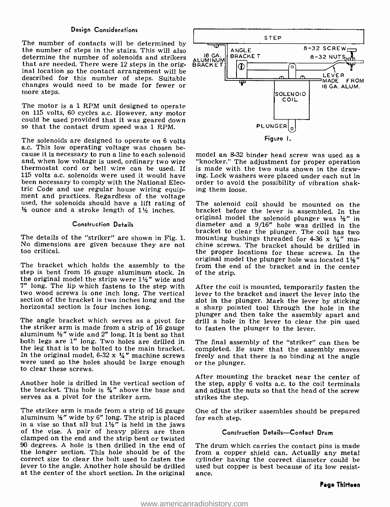### Design Considerations

The number of contacts will be determined by the number of steps in the stairs. This will also determine the number of solenoids and strikers that are needed. There were 12 steps in the orig- inal location so the contact arrangement will be described for this number of steps. Suitable changes would need to be made for fewer or more steps.

The motor is a 1 RPM unit designed to operate on 115 volts, 60 cycles a.c. However, any motor could be used provided that it was geared down so that the contact drum speed was 1 RPM.

The solenoids are designed to operate on 6 volts<br>a.c. This low operating voltage was chosen be-<br>cause it is necessary to run a line to each solenoid model an 8-32 binder head screw was used as a and, when low voltage is used, ordinary two wire thermostat cord or bell wire can be used. If 115 volts a.c. solenoids were used it would have been necessary to comply with the National Electric Code and use regular house wiring equip-<br>ment and practices. Regardless of the voltage<br>used, the solenoids should have a lift rating of The solenoid coil should be mounted on the<br> $\frac{1}{2}$  ounce and a stroke length o  $\frac{1}{2}$  ounce and a stroke length of  $1\frac{1}{2}$  inches.

#### Construction Details

No dimensions are given because they are not too critical.

The bracket which holds the assembly to the step is bent from 16 gauge aluminum stock. In the original model the strips were  $1\frac{1}{2}$ " wide and 7" long. The lip which fastens to the step with two wood screws is one inch long. The vertical section of the bracket is two inches long and the horizontal section is four inches long.

The angle bracket which serves as a pivot for the striker arm is made from a strip of 16 gauge aluminum  $\frac{1}{2}$ " wide and 2" long. It is bent so that both legs are 1" long. Two holes are drilled in the leg that is to be bolted to the main bracket. completed. Be sure that the assembly moves In the original model, 6-32 x  $\frac{1}{4}$ " machine screws freely and that there is no binding at the angle were used so the holes should be large enough or the plunger. to clear these screws.

Another hole is drilled in the vertical section of the bracket. This hole is  $\frac{3}{4}$ " above the base and serves as a pivot for the striker arm.

The striker arm is made from a strip of 16 gauge One of the strauminum  $\frac{1}{2}$ " wide by 6" long. The strip is placed in a vise so that all but  $1\frac{1}{2}$ " is held in the jaws of the vise. A pair of heavy pliers are then clamped on the end and the strip bent or twisted 90 degrees. A hole is then drilled in the end of the longer section. This hole should be of the correct size to clear the bolt used to fasten the lever to the angle. Another hole should be drilled used<br>at the center of the short section. In the original ance. at the center of the short section. In the original



"knocker." The adjustment for proper operation is made with the two nuts shown in the drawing. Lock washers were placed under each nut in order to avoid the possibility of vibration shaking them loose.

bracket to clear the plunger. The coil has two<br>The details of the "striker" are shown in Fig. 1. mounting bushings threaded for 4-36 x ¼" ma-<br>No dimensions are given because they are not chine screws. The bracket should be original model the solenoid plunger was  $\frac{1}{2}$ " in diameter and a 9/16" hole was drilled in the bracket to clear the plunger. The coil has two mounting bushings threaded for 4-36 x  $\frac{1}{4}$ " manuting bushings threaded original model the plunger hole was located  $1\frac{1}{2}$ " from the end of the bracket and in the center of the strip.

> After the coil is mounted, temporarily fasten the lever to the bracket and insert the lever into the slot in the plunger. Mark the lever by sticking a sharp pointed tool through the hole in the plunger and then take the assembly apart and drill a hole in the lever to clear the pin used to fasten the plunger to the lever.

> The final assembly of the "striker" can then be completed. Be sure that the assembly moves

> After mounting the bracket near the center of the step, apply 6 volts a.c. to the coil terminals and adjust the nuts so that the head of the screw strikes the step.

> One of the striker assembles should be prepared

### Construction Details-Contact Drum

The drum which carries the contact pins is made from a copper shield can. Actually any metal cylinder having the correct diameter could be used but copper is best because of its low resist-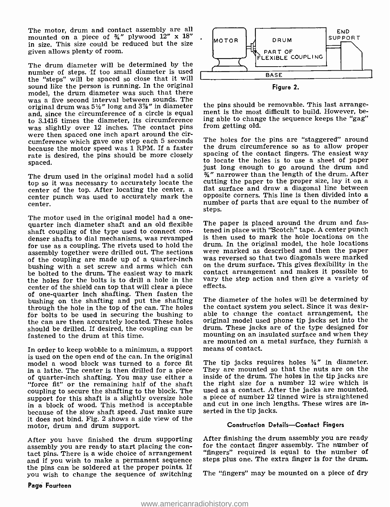The motor, drum and contact assembly are all mounted on a piece of  $\frac{3}{4}$ " plywood 12" x 18" in size. This size could be reduced but the size given allows plenty of room.

The drum diameter will be determined by the number of steps. If too small diameter is used the "steps" will be spaced so close that it will sound like the person is running. In the original model, the drum diameter was such that there was a five second interval between sounds. The original drum was  $5\frac{1}{2}$ " long and  $3\frac{1}{2}$ " in diameter and, since the circumference of a circle is equal to 3.1416 times the diameter, its circumference was slightly over 12 inches. The contact pins were then spaced one inch apart around the circumference which gave one step each 5 seconds because the motor speed was 1 RPM. If a faster rate is desired, the pins should be more closely spaced.

The drum used in the original model had a solid top so it was necessary to accurately locate the cutting the paper to the proper size, lay it on a<br>center of the top. After locating the center, a state surface and draw a diagonal line between center of the top. After locating the center, a interest surface and draw a diagonal line between<br>center punch was used to accurately mark the opposite corners. This line is then divided into a center.

The motor used in the original model had a one-<br>quarter inch diameter shaft and an old flexible<br>shaft coupling of the type used to connect condenser shafts to dial mechanisms, was revamped for use as a coupling. The rivets used to hold the drum. In the original model, the hole locations assembly together were drilled out. The sections were marked as described and then the paper assembly together were drilled out. The sections of the coupling are made up of a quarter-inch was reversed so that two diagonals were marked<br>bushing with a set screw and arms which can on the drum surface. This gives flexibility in the bushing with a set screw and arms which can be bolted to the drum. The easiest way to mark the holes for the bolts is to drill a hole in the center of the shield can top that will clear a piece of one -quarter inch shafting. Then fasten the bushing on the shafting and put the shafting through the hole in the top of the can. The holes for bolts to be used in securing the bushing to the can are then accurately located. These holes should be drilled. If desired, the coupling can be fastened to the drum at this time.

In order to keep wobble to a minimum, a support means of contact. is used on the open end of the can. In the original model a wood block was turned to a force fit in a lathe. The center is then drilled for a piece "force fit" or the remaining half of the shaft coupling to secure the shafting to the block. The used as a contact. After the jacks are mounted,<br>support for this shaft is a slightly oversize hole a piece of number 12 tinned wire is straightened support for this shaft is a slightly oversize hole a piece of number 12 tinned wire is straightened<br>in a block of wood. This method is acceptable and cut in one inch lengths. These wires are inin a block of wood. This method is acceptable because of the slow shaft speed. Just make sure it does not bind. Fig. 2 shows a side view of the motor, drum and drum support.

After you have finished the drum supporting<br>assembly you are ready to start placing the contact pins. There is a wide choice of arrangement and if you wish to make a permanent sequence the pins can be soldered at the proper points. If you wish to change the sequence of switching



the pins should be removable. This last arrangement is the most difficult to build. However, being able to change the sequence keeps the "gag" from getting old.

The holes for the pins are "staggered" around the drum circumference so as to allow proper spacing of the contact fingers. The easiest way to locate the holes is to use a sheet of paper just long enough to go around the drum and  $\frac{3}{4}$ " narrower than the length of the drum. After cutting the paper to the proper size, lay it on a number of parts that are equal to the number of steps.

The paper is placed around the drum and fastened in place with "Scotch" tape. A center punch is then used to mark the hole locations on the drum. In the original model, the hole locations was reversed so that two diagonals were marked contact arrangement and makes it possible to vary the step action and then give a variety of effects.

The diameter of the holes will be determined by the contact system you select. Since it was desirable to change the contact arrangement, the original model used phone tip jacks set into the drum. These jacks are of the type designed for mounting on an insulated surface and when they are mounted on a metal surface, they furnish a

The tip jacks requires holes  $\frac{1}{4}$ " in diameter. They are mounted so that the nuts are on the inside of the drum. The holes in the tip jacks are the right size for a number 12 wire which is used as a contact. After the jacks are mounted, serted in the tip jacks.

### Construction Details-Contact Fingers

After finishing the drum assembly you are ready for the contact finger assembly. The number of "fingers" required is equal to the number of steps plus one. The extra finger is for the drum.

The "fingers" may be mounted on a piece of dry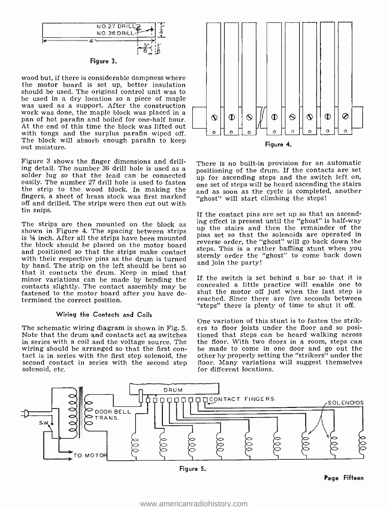



wood but, if there is considerable dampness where the motor board is set up, better insulation should be used. The original control unit was to was used as a support. After the construction work was done, the maple block was placed in a pan of hot parafin and boiled for one-half hour. At the end of this time the block was lifted out with tongs and the surplus parafin wiped off. The block will absorb enough parafin to keep out moisture.

Figure 3 shows the finger dimensions and drilling detail. The number 36 drill hole is used as a solder lug so that the lead can be connected easily. The number 27 drill hole is used to fasten the strip to the wood block. In making the fingers, a sheet of brass stock was first marked off and drilled. The strips were then cut out with tin snips.

The strips are then mounted on the block as shown in Figure 4. The spacing between strips is  $\frac{1}{6}$  inch. After all the strips have been mounted the block should be placed on the motor board<br>and positioned as that the strips wells as the strips. This is a rather baffling stunt when you and positioned so that the strips make contact with their respective pins as the drum is turned<br>by hand. The strip on the left should be bent so that it contacts the drum. Keep in mind that minor variations can be made by bending the contacts slightly. The contact assembly may be fastened to the motor board after you have determined the correct position.

### Wiring the Contacts and Coils

The schematic wiring diagram is shown in Fig. 5. ers to floor joists under the floor and so posi-<br>Note that the drum and contacts act as switches tioned that steps can be heard walking across Note that the drum and contacts act as switches tioned that steps can be heard walking across<br>in series with a coil and the voltage source. The the floor. With two doors in a room, steps can in series with a coil and the voltage source. The wiring should be arranged so that the first con- tact is in series with the first step solenoid, the second contact in series with the second step solenoid, etc.



There is no built-in provision for an automatic positioning of the drum. If the contacts are set one set of steps will be heard ascending the stairs and as soon as the cycle is completed, another "ghost" will start climbing the steps!

If the contact pins are set up so that an ascending effect is present until the "ghost" is half-way up the stairs and then the remainder of the pins set so that the solenoids are operated in reverse order, the "ghost" will go back down the sternly order the "ghost" to come back down and join the party!

If the switch is set behind a bar so that it is concealed a little practice will enable one to shut the motor off just when the last step is reached. Since there are five seconds between "steps" there is plenty of time to shut it off.

One variation of this stunt is to fasten the strik- ers to floor joists under the floor and so posibe made to come in one door and go out the other by properly setting the "strikers" under the floor. Many variations will suggest themselves for different locations.



Figure 5.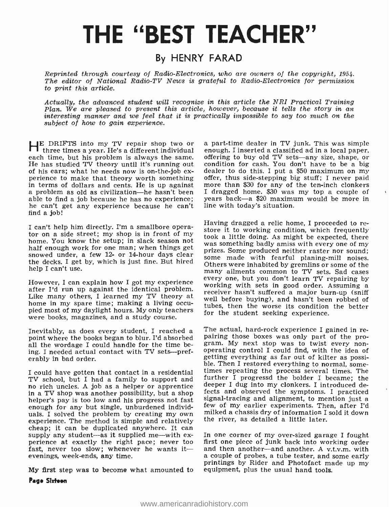# THE "BEST TEACHER"

# By HENRY FARAD

Reprinted through courtesy of Radio -Electronics, who are owners of the copyright, 1954. The editor of National Radio-TV News is grateful to Radio-Electronics for permission to print this article.

Actually, the advanced student will recognize in this article the NRI Practical Training<br>Plan. We are pleased to present this article, however, because it tells the story in an<br>interesting manner and we feel that it is pra subject of how to gain experience.

HE DRIFTS into my TV repair shop two or a part-time dealer in TV junk. This was simple<br>three times a year. He's a different individual enough. I inserted a classified ad in a local paper,<br>each time, but his problem is alwa each time, but his problem is always the same. offering to buy old TV sets—any size, shape, or He has studied TV theory until it's running out condition for cash. You don't have to be a big of his ears; what he needs now i perience to make that theory worth something offer, thus side-stepping big stuff; I never paid<br>in terms of dollars and cents. He is up against more than \$30 for any of the ten-inch clonkers<br>a problem as old as civilization able to find a job because he has no experience; he can't get any experience because he can't find a job!

I can't help him directly. I'm a smallbore opera-I can't herp him directly. I'm a sinalition of my<br>tor on a side street; my shop is in front of my<br>took a little doing. As might be expected, there home. You know the setup; in slack season not<br>was something badly amiss with every one of my half enough work for one man; when things get snowed under, a few 12- or 14-hour days clear<br>some made with fearful planing-mill noises. the decks. I get by, which is just fine. But hired help I can't use.

Like many others, I learned my TV theory at the external in the surface of many spare time; making a living occu-<br>https://web.a.theory.com/induction\_induction\_induction\_induction\_induction\_induction\_induction\_induction\_ind pied most of my daylight hours. My only teachers<br>were books, magazines, and a study course.

Inevitably, as does every student, I reached a <sup>The actual,</sup> hard-rock experience I gained in re-<br>point where the books began to blur. I'd absorbed pairing those boxes was only part of the proall the wordage I could handle for the time being. I needed actual contact with TV sets—pref-<br>erably in bad order.

TV school, but I had a family to support and further I progressd the bolder I became; the<br>no rich uncles. A job as a helper or apprentice deeper I dug into my clonkers. I introduced de-<br>in a TV shop was another possibility in a TV shop was another possibility, but a shop if the solution of the symptoms. I practiced<br>helper's pay is too low and his progress not fast signal-tracing and alignment, to mention just a<br>enough for any but single, unb enough for any but single, unburdened individexperience. The method is simple and relatively<br>cheap; it can be duplicated anywhere. It can<br>cheap; it can be duplicated anywhere. It can<br>supply any student—as it supplied me—with ex-<br>perience at exactly the right pace; n fast, never too slow; whenever he wants itevenings, week -ends, any time.

My first step was to become what amounted to equipment, plus the usual hand tools. Page Sixteen

more than \$30 for any of the ten-inch clonkers I dragged home. \$30 was my top a couple of years back -a \$20 maximum would be more in line with today's situation.

However, I can explain how I got my experience<br>
working with sets in good order. Assuming a<br>
Liter I'd run up against the identical problem.<br>
The interest of the interest a major burn-up (sniff Having dragged a relic home, I proceeded to restore it to working condition, which frequently took a little doing. As might be expected, there was something badly amiss with every one of my prizes. Some produced neither ra Others were inhabited by gremlins or some of the many ailments common to TV sets. Sad cases tubes, then the worse its condition the better for the student seeking experience.

I could have gotten that contact in a residential times repeating the process several times. The The actual, hard-rock experience I gained in regram. My next stop was to twist every non-<br>operating control I could find, with the idea of getting everything as far out of kilter as possi-<br>ble. Then I restored everything to normal, somefurther I progressd the bolder I became; the deeper I dug into my clonkers. I introduced designal-tracing and alignment, to mention just a milked a chassis dry of information I sold it down the river, as detailed a little later.

> first one piece of junk back into working order a couple of probes, a tube tester, and some early printings by Rider and Photofact made up my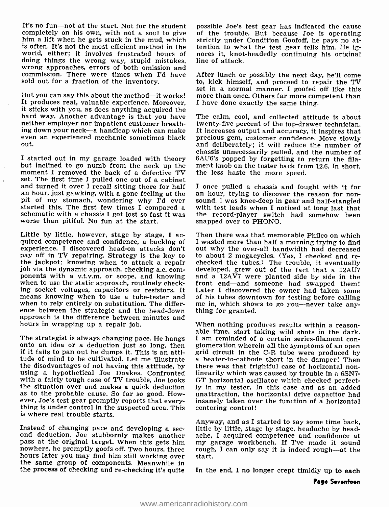It's no fun---not at the start. Not for the student possible Joe's test gear has indicated the cause<br>completely on his own, with not a soul to give of the trouble. But because Joe is operating him a lift when he gets stuck in the mud, which strictly under Condition Goofoff, he pays no atis often. It's not the most efficient method in the tention to what the test gear tells him. He ig-<br>world, either; it involves frustrated hours of nores it, knot-headedly continuing his original world, either; it involves frustrated hours of nores it, knot<br>doing things the wrong way, stupid mistakes, line of attack. doing things the wrong way, stupid mistakes, wrong approaches, errors of both omission and sold out for a fraction of the inventory.

But you can say this about the method—it works! more than once. Others far more competent than It produces real, valuable experience. Moreover, it sticks with you, as does anything acquired the hard way. Another advantage is that you have neither employer nor impatient customer breathing down your neck—a handicap which can make It increases output and accuracy, it inspires that<br>even an experienced mechanic sometimes black precious gem, customer confidence. Move slowly<br>and deliberately; it will reduce t out.

I started out in my garage loaded with theory 6AU6's popped by forgetting to but inclined to go numb from the neck up the ment knob on the tester back from moment I removed the back of a defective TV the less haste the mor moment I removed the back of a defective TV set. The first time I pulled one out of a cabinet and turned it over I recall sitting there for half I once pulled a chassis and fought with it for<br>an hour, just gawking, with a gone feeling at the an hour, trying to discover the reason for non-<br>pit of my stomach, wonderi started this. The first few times I compared a schematic with a chassis I got lost so fast it was worse than pitiful. No fun at the start.

Little by little, however, stage by stage, I ac- quired competence and confidence, a backlog of experience. I discovered head-on attacks don't pay off in TV repairing. Strategy is the key to to about 2 megacycles. (Yes, I checked and re-<br>the jackpot; knowing when to attack a repair checked the tubes.) The trouble, it eventually the jackpot; knowing when to attack a repair job via the dynamic approach, checking a.c. components with a v.t.v.m. or scope, and knowing when to use the static approach, routinely checking socket voltages, capacitors or resistors. It Later I discovered the owner had taken some<br>means knowing when to use a tube-tester and of his tubes downtown for testing before calling<br>when to rely entirely on substitutio ence between the strategic and the head-down thing for granted. approach is the difference between minutes and<br>hours in wrapping up a repair job. When nothing produces results within a reasonhours in wrapping up a repair job.

The strategist is always changing pace. He hangs  $\;$  I am reminded of a certain series-filament conorto an idea or a deduction just so long, then glomeration wherein all the symptoms of an open if it fails to pan out he dumps it. This is an attitude of mind to be cultivated. Let me illustrate a heater-to-cathode short in the damper! Then<br>the disadvantages of not having this attitude, by there was that frightful case of horizontal nonusing a hypothetical Joe Doakes. Confronted linearity which was caused by trouble in a 6SN7-<br>with a fairly tough case of TV trouble, Joe looks GT horizontal oscillator which checked perfectwith a fairly tough case of TV trouble, Joe looks<br>the situation over and makes a quick deduction as to the probable cause. So far so good. How-<br>ever, Joe's test gear promptly reports that everything is under control in the suspected area. This is where real trouble starts.

Instead of changing pace and developing a sec-<br>ond deduction, Joe stubbornly makes another ache, I acquired competence and confidence at pass at the original target. When this gets him nowhere, he promptly goofs off. Two hours, three hours later you may find him still working over the same group of components. Meanwhile in the process of checking and re-checking it's quite

of the trouble. But because Joe is operating tention to what the test gear tells him. He ig-

commission. There were times when I'd have After lunch or possibly the next day, he'll come sold out for a fraction of the inventory. <br>sold out for a fraction of the inventory. bo, kick himself, and proceed to repair the T After lunch or possibly the next day, he'll come set in a normal manner. I goofed off like this I have done exactly the same thing.

> The calm, cool, and collected attitude is about twenty-five percent of the top-drawer technician. It increases output and accuracy, it inspires that precious gem, customer confidence. Move slowly chassis unnecessarily pulled, and the number of 6AU6's popped by forgetting to return the filament knob on the tester back from 12.6. In short,

> I once pulled a chassis and fought with it for an hour, trying to discover the reason for non-<br>sound. I was knee-deep in gear and half-stangled<br>with test leads when I noticed at long last that the record-player switch had somehow been snapped over to PHONO.

> Then there was that memorable Philco on which I wasted more than half a morning trying to find out why the over -all bandwidth had decreased to about 2 megacycles. (Yes, I checked and re-<br>checked the tubes.) The trouble, it eventually<br>developed, grew out of the fact that a 12AU7 and a  $12A\overline{V}$ 7 were planted side by side in the front end-and someone had swapped them! Later I discovered the owner had taken some

> able time, start taking wild shots in the dark. grid circuit in the C-R tube were produced by there was that frightful case of horizontal nonly in my tester. In this case and as an added unattraction, the horizontal drive capacitor had insanely taken over the function of a horizontal centering control!

> Anyway, and as I started to say some time back, ache, I acquired competence and confidence at my garage workbench. If I've made it sound rough, I can only say it is indeed rough—at the start.

> In the end, I no longer crept timidly up to each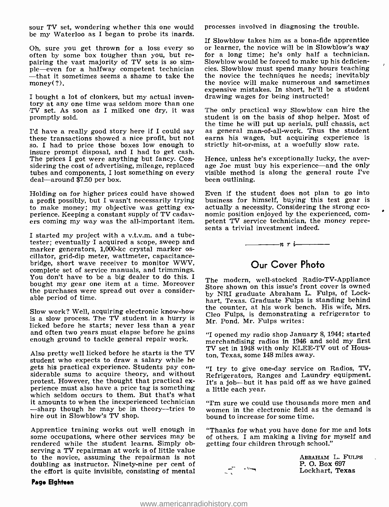sour TV set, wondering whether this one would be my Waterloo as I began to probe its inards.

Oh, sure you get thrown for a loss every so often by some box tougher than you, but re- pairing the vast majority of TV sets is so simple—even for a halfway competent technician cies. Slowblow must spend many hours teaching —that it sometimes seems a shame to take the the novice the techniques he needs; inevitably money(?).

I bought a lot of clonkers, but my actual inven-TV set. As soon as I milked one dry, it was promptly sold.

I'd have a really good story here if I could say as general man-of-all-work. Thus the student these transactions showed a nice profit, but not earns his wages, but acquiring experience is so. I had to price those boxes low insure prompt disposal, and I had to get cash. The prices I got were anything but fancy. Considering the cost of advertising, mileage, replaced tubes and components, I lost something on every deal--around \$7.50 per box.

Holding on for higher prices could have showed Even if the student does not plan to go into a profit possibly, but I wasn't necessarily trying business for himself, buying this test gear is to make money; my objective was to make money; my objective was getting ex-<br>perience. Keeping a constant supply of TV cadav-<br>ers coming my way was the all-important item. petent TV service technician, the money repre-<br>ers coming my way was the all-import

I started my project with a v.t.v.m. and a tube-<br>tester; eventually I acquired a scope, sweep and marker generators, 1,000-kc crystal marker os-<br>cillator, grid-dip meter, wattmeter, capacitance-<br>bridge, short wave receiver to monitor WWV, complete set of service manuals, and trimmings. You don't have to be a big dealer to do this. I bought my gear one item at a time. Moreover the purchases were spread out over a considerable period of time.

Slow work? Well, acquiring electronic know -how is a slow process. The TV student in a hurry is licked before he starts; never less than a year and often two years must elapse before he gains enough ground to tackle general repair work.

Also pretty well licked before he starts is the TV student who expects to draw a salary while he gets his practical experience. Students pay considerable sums to acquire theory, and without protest. However, the thought that practical ex-<br>perience must also have a price tag is something a little each year. which seldom occurs to them. But that's what it amounts to when the inexperienced technician  $^{\prime\prime}$  Tm sure we could use thousands more men and  $-$ sharp though he may be in theory--tries to women in the electronic field as the demand is -sharp though he may be in theory--tries to hire out in Slowblow's TV shop.

Apprentice training works out well enough in some occupations, where other services may be rendered while the student learns. Simply observing a TV repairman at work is of little value to the novice, assuming the repairman is not doubling as instructor. Ninety-nine per cent of the effort is quite invisible, consisting of mental

### Page Eighteen

processes involved in diagnosing the trouble.

If Slowblow takes him as a bona -fide apprentice or learner, the novice will be in Slowblow's way for a long time; he's only half a technician. Slowblow would be forced to make up his deficienthe novice will make numerous and sometimes expensive mistakes. In short, he'll be a student drawing wages for being instructed!

The only practical way Slowblow can hire the student is on the basis of shop helper. Most of the time he will put up aerials, pull chassis, act earns his wages, but acquiring experience is strictly hit -or -miss, at a woefully slow rate.

Hence, unless he's exceptionally lucky, the aver-<br>age Joe must buy his experience—and the only visible method is along the general route I've been outlining.

Even if the student does not plan to go into business for himself, buying this test gear is petent TV service technician, the money represents a trivial investment indeed.



# Our Cover Photo

The modern, well-stocked Radio-TV-Appliance Store shown on this issue's front cover is owned by NRI graduate Abraham L. Fulps, of Lockhart, Texas. Graduate Fulps is standing behind the counter, at his work bench. His wife, Mrs. Cleo Fulps, is demonstrating a refrigerator to Mr. Pond. Mr. Fulps writes:

"I opened my radio shop January 8, 1944; started merchandising radios in 1946 and sold my first TV set in 1948 with only KLEE-TV out of Houston, Texas, some 148 miles away.

"I try to give one -day service on Radios, TV, Refrigerators, Ranges and Laundry equipment.

"I'm sure we could use thousands more men and bound to increase for some time.

"Thanks for what you have done for me and lots of others. I am making a living for myself and getting four children through school."



ABRAHAM L. FULPS P. O. Box 697 Lockhart, Texas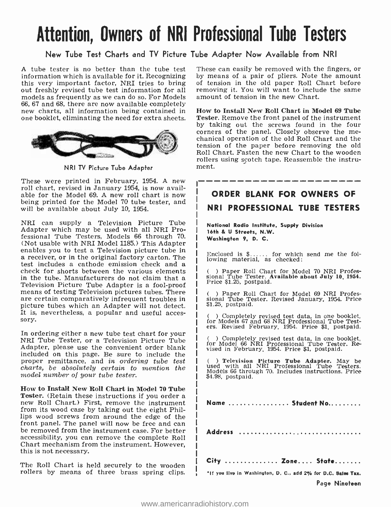# Attention, Owners of NRI Professional Tube Testers

### New Tube Test Charts and TV Picture Tube Adapter Now Available from NRI

A tube tester is no better than the tube test These can easily be removed with the fingers, or information which is available for it. Recognizing by means of a pair of pliers. Note the amount this very important factor, NRI tries to bring out freshly revised tube test information for all removing it. You will want to inclue models as frequently as we can do so. For Models amount of tension in the new Chart. models as frequently as we can do so. For Models new charts, all information being contained in one booklet, eliminating the need for extra sheets.



NRI TV Picture Tube Adapter

These were printed in February, 1954. A new roll chart, revised in January 1954, is now available for the Model 69. A new roll chart is now being printed for the Model 70 tube tester, and will be available about July 10, 1954.

NRI can supply a Television Picture Tube Adapter which may be used with all NRI Professional Tube Testers, Models 66 through 70. enables you to test a Television picture tube in a receiver, or in the original factory carton. The test includes a cathode emission check and a check for shorts between the various elements Television Picture Tube Adapter is a fool-proof means of testing Television pictures tubes. There are certain comparatively infrequent troubles in picture tubes which an Adapter will not detect. It is, nevertheless, a popular and useful acces- sory.

In ordering either a new tube test chart for your NRI Tube Tester, or a Television Picture Tube Adapter, please use the convenient order blank included on this page. Be sure to include the proper remittance, and in ordering tube test charts, be absolutely certain to mention the model number of your tube tester.

How to Install New Roll Chart in Model 70 Tube new Roll Chart.) First, remove the instrument from its wood case by taking out the eight Phillips wood screws from around the edge of the be removed from the instrument case. For better accessibility, you can remove the complete Roll Chart mechanism from the instrument. However, this is not necessary.

The Roll Chart is held securely to the wooden rollers by means of three brass spring clips. These can easily be removed with the fingers, or of tension in the old paper Roll Chart before removing it. You will want to include the same

How to Install New Roll Chart in Model 69 Tube Tester. Remove the front panel of the instrument by taking out the screws found in the four corners of the panel. Closely observe the me- chanical operation of the old Roll Chart and the tension of the paper before removing the old Roll Chart. Fasten the new Chart to the wooden rollers using scotch tape. Reassemble the instrument.

ORDER BLANK FOR OWNERS OF NRI PROFESSIONAL TUBE TESTERS

National Radio Institute, Supply Division 16th & U Streets, N.W. Washington 9, D. C.

Enclosed is \$...... for which send me the following material, as checked:

( ) Paper Roll Chart for Model 70 NRI Profes-sional Tube Tester. Available about July 10. 1954. Price \$1.25, postpaid.

( ) Paper Roll Chart for Model 69 NRI Professional Tube Tester. Revised January, 1954. Price \$1.25, postpaid.

( ) Completely revised test data, in one booklet, for Models 67 and 68 NRI Professional Tube Test- ers. Revised February, 1954. Price \$1, postpaid.

( ) Completely revised test data, in one booklet, for Model 66 NRI Professional Tube Tester. Re-vised in February, 1954. Price \$1, postpaid.

( ) Television Picture Tube Adapter. May be used with all NRI Professional Tube Testers. Models 66 through 70. Includes instructions. Price \$4.98, postpaid.

Name ............... Student No.........

Address ...............................

City ............... Zone.... State.......

\*If you live in Washington, D. C., add 2% for D.C. Sales Tax. Page Nineteen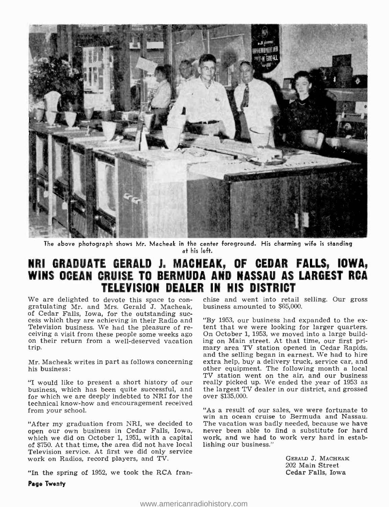

The above photograph shows Mr. Macheak in the center foreground. His charming wife is standing at his left.

# NRI GRADUATE GERALD J. MACHEAK, OF CEDAR FALLS, IOWA, WINS OCEAN CRUISE TO BERMUDA AND NASSAU AS LARGEST RCA TELEVISION DEALER IN HIS DISTRICT

We are delighted to devote this space to con-<br>gratulating Mr. and Mrs. Gerald J. Macheak, business amounted to \$65,000.<br>of Cedar Falls, Iowa, for the outstanding suc-

"I would like to present a short history of our really picked up. We ended the year of 1953 as business, which has been quite successful, and the largest TV dealer in our district, and grossed for which we are deeply inde technical know -how and encouragement received

open our own business in Cedar Falls, Iowa, never been able to find a substitute for hard<br>which we did on October 1, 1951, with a capital work, and we had to work very hard in estabof \$750. At that time, the area did not have local Television service. At first we did only service work on Radios, record players, and TV. GERALD J. MACHEAK

"In the spring of 1952, we took the RCA fran-

Page Twenty

of Cedar Falls, Iowa, for the outstanding suc-<br>cess which they are achieving in their Radio and<br>Television business. We had the pleasure of re-<br>felevision business. We had the pleasure of re-<br>terity that we were looking fo and the selling began in earnest. We had to hire<br>Mr. Macheak writes in part as follows concerning extra help, buy a delivery truck, service car, and<br>other equipment. The following month a local other equipment. The following month a local TV station went on the air, and our business really picked up. We ended the year of 1953 as

"As a result of our sales, we were fortunate to win an ocean cruise to Bermuda and Nassau. "After my graduation from NRI, we decided to The vacation was badly needed, because we have work, and we had to work very hard in estab-<br>lishing our business."

202 Main Street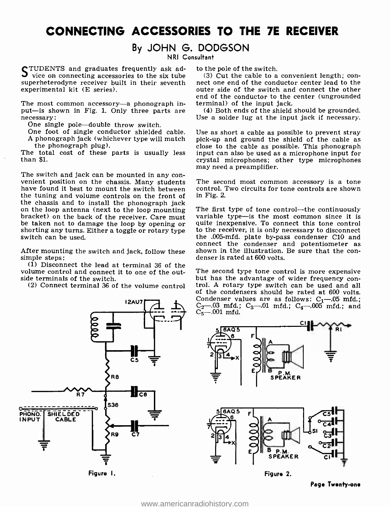# CONNECTING ACCESSORIES TO THE 7E RECEIVER

### By JOHN G. DODGSON

NRI Consultant

TUDENTS and graduates frequently ask advice on connecting accessories to the six tube superheterodyne receiver built in their seventh nect one end of the conductor center lead to the experimental kit (E series).

The most common accessory-a phonograph input-is shown in Fig. 1. Only three parts are necessary:

One single pole-double throw switch.

The total cost of these parts is usually less than \$1.

The switch and jack can be mounted in any con- venient position on the chassis. Many students have found it best to mount the switch between the tuning and volume controls on the front of<br>the chassis and to install the phonograph jack on the loop antenna (next to the loop mounting The first type of tone control—the continuously bracket) on the back of the receiver. Care must variable type—is the most common since it is be taken not to damage the loop by shorting any turns. Either a toggle or rotary type<br>switch can be used.

(1) Disconnect the lead at terminal 36 of the<br>plume control and connect it to one of the out-<br>The second type tone control is more expensive volume control and connect it to one of the outside terminals of the switch.



Figure I.

to the pole of the switch.

(3) Cut the cable to a convenient length; conouter side of the switch and connect the other end of the conductor to the center (ungrounded terminal) of the input jack.

(4) Both ends of the shield should be grounded. Use a solder lug at the input jack if necessary.

One foot of single conductor shielded cable. Use as short a cable as possible to prevent stray A phonograph jack (whichever type will match pick-up and ground the shield of the cable as A phonograph jack (whichever type will match pick-up and ground the shield of the cable as the phonograph plug).<br>
close to the cable as possible. This phonograph input can also be used as a microphone input for crystal microphones; other type microphones may need a preamplifier.

> The second most common accessory is a tone control. Two circuits for tone controls are shown in Fig. 2.

After mounting the switch and jack, follow these shown in the illustration. Be sure that the consimple steps:<br>denser is rated at  $600$  volts. variable type-is the most common since it is quite inexpensive. To connect this tone control to the receiver, it is only necessary to disconnect the .005 -mfd. plate by -pass condenser C10 and connect the condenser and potentiometer as

(2) Connect terminal 36 of the volume control but has the advantage of wider frequency conof the condensers should be rated at 600 volts. Condenser values are as follows:  $C_1$ -05 mfd.;  $C_2$ —.03 mfd.;  $C_3$ —.01 mfd.;  $C_4$ —.005 mfd.; and  $C_5 - 001$  mfd.



Page Twenty-one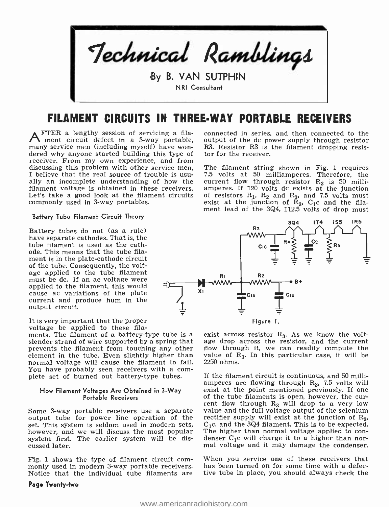

# FILAMENT CIRCUITS IN THREE-WAY PORTABLE RECEIVERS

FTER a lengthy session of servicing a filament circuit defect in a 3-way portable, many service men (including myself) have wondered why anyone started building this type of receiver. From my own experience, and from discussing this problem with other service men,<br>I believe that the real source of trouble is usually an incomplete understanding of how the current flow through resistor  $R_3$  is 50 milli-<br>filament voltage is obtained in these receivers. amperes. If 120 volts dc exists at the junction filament voltage is obtained in these receivers. Let's take a good look at the filament circuits commonly used in 3-way portables.

#### Battery Tube Filament Circuit Theory

Battery tubes do not (as a rule) have separate cathodes. That is, the tube filament is used as the cathode. This means that the tube filament is in the plate-cathode circuit of the tube. Consequently, the voltage applied to the tube filament<br>must be dc. If an ac voltage were applied to the filament, this would cause ac variations of the plate current and produce hum in the output circuit.

It is very important that the proper voltage be applied to these fila-

ments. The filament of a battery -type tube is a slender strand of wire supported by a spring that prevents the filament from touching any other element in the tube. Even slightly higher than normal voltage will cause the filament to fail. You have probably seen receivers with a com-<br>plete set of burned out battery-type tubes.

#### How Filament Voltages Are Obtained in 3 -Way Portable Receivers

output tube for power line operation of the rectifier supply will exist at the junction of  $R_3$ ,<br>set. This system is seldom used in modern sets,  $C_1c$ , and the 3Q4 filament. This is to be expected. set. This system is seldom used in modern sets, C<sub>1</sub>c, and the 3Q4 filament. This is to be expected.<br>however, and we will discuss the most popular The higher than normal voltage applied to conhowever, and we will discuss the most popular – The higher than normal voltage applied to con-<br>system first. The earlier system will be dis- – denser C<sub>1</sub>c will charge it to a higher than norsystem first. The earlier system will be discussed later.

Fig. 1 shows the type of filament circuit com-<br>monly used in modern 3-way portable receivers. Notice that the individual tube filaments are

#### Page Twenty -two

connected in series, and then connected to the output of the dc power supply through resistor R3. Resistor R3 is the filament dropping resistor for the receiver.

The filament string shown in Fig. 1 requires 7.5 volts at 50 milliamperes. Therefore, the current flow through resistor  $R_3$  is 50 milliamperes. If 120 volts dc exists at the junction of resistors  $R_1$ ,  $R_2$  and  $R_3$ , and 7.5 volts must exist at the junction of  $R_3$ ,  $C_1c$  and the filament lead of the 3Q4, 112.5 volts of drop must



exist across resistor  $R_3$ . As we know the voltage drop across the resistor, and the current flow through it, we can readily compute the value of  $R_3$ . In this particular case, it will be 2250 ohms.

 $S$ ome 3-way portable receivers use a separate value and the full voltage output of the selenium If the filament circuit is continuous, and 50 milliamperes are flowing through  $R_3$ , 7.5 volts will exist at the point mentioned previously. If one of the tube filaments is open, however, the curvalue and the full voltage output of the selenium rectifier supply will exist at the junction of  $R_3$ , mal voltage and it may damage the condenser.

> When you service one of these receivers that has been turned on for some time with a defective tube in place, you should always check the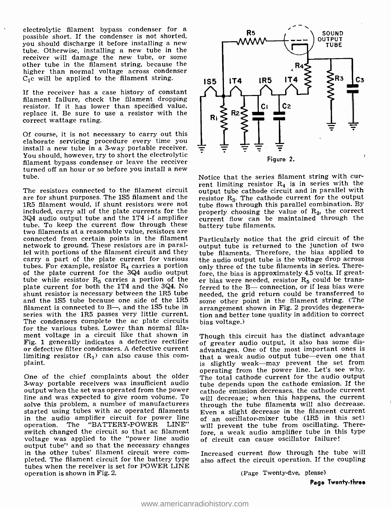electrolytic filament bypass condenser for a possible short. If the condenser is not shorted, you should discharge it before installing a new tube. Otherwise, installing a new tube in the receiver will damage the new tube, or some other tube in the filament string, because the higher than normal voltage across condenser  $C_1$ c will be applied to the filament string.

If the receiver has a case history of constant filament failure, check the filament dropping resistor. If it has lower than specified value, replace it. Be sure to use a resistor with the correct wattage rating.

Of course, it is not necessary to carry out this elaborate servicing procedure every time you install a new tube in a 3-way portable receiver. You should, however, try to short the electrolytic filament bypass condenser or leave the receiver turned off an hour or so before you install a new tube.

are for shunt purposes. The 1S5 filament and the 1R5 filament would, if shunt resistors were not included, carry all of the plate currents for the  $3Q4$  audio output tube and the 1T4 i-f amplifier tube. To keep the current flow through these two filaments at a reasonable value, resistors are connected from certain points in the filament network to ground. These resistors are in parallel with portions of the filament circuit and they  $\frac{1}{100}$  filaments. Therefore, the bias applied to carry a part of the plate current for various the audio output tube is the voltage drop across carry a part of the plate current for various tubes. For example, resistor  $R_4$  carries a portion of the plate current for the  $3Q4$  audio output tube while resistor  $R_5$  carries a portion of the plate current for both the 1T4 and the 3Q4. No<br>shunt resistor is necessary between the 1R5 tube<br>needed, the grid return could be transferred to shunt resistor is necessary between the 1R5 tube<br>and the 1S5 tube because one side of the 1R5 some other point in the filament string. (The and the 1S5 tube because one side of the 1R5 filament is connected to  $B$ —, and the 1S5 tube in series with the 1R5 passes very little current. The condensers complete the ac plate circuits for the various tubes. Lower than normal filament voltage in a circuit like that shown in Fig. 1 generally indicates a defective rectifier or defective filter condensers. A defective current limiting resistor  $(R_1)$  can also cause this com-<br>plaint.

One of the chief complaints about the older 3-way portable receivers was insufficient audio output when the set was operated from the power line and was expected to give room volume. To solve this problem, a number of manufacturers started using tubes with ac operated filaments in the audio amplifier circuit for power line<br>operation. The "BATTERY-POWER LINE" "BATTERY-POWER switch changed the circuit so that ac filament voltage was applied to the "power line audio output tube" and so that the necessary changes in the other tubes' filament circuit were completed. The filament circuit for the battery type tubes when the receiver is set for POWER LINE operation is shown in Fig. 2.



 $T$ he resistors connected to the filament circuit  $T$  rent limiting resistor  $R_4$  is in series with the The resistors connected to the filament circuit  $T$  output tube cathode circuit and in parallel with Notice that the series filament string with curoutput tube cathode circuit and in parallel with resistor  $R_3$ . The cathode current for the output tube flows through this parallel combination. By properly choosing the value of  $R_3$ , the correct current flow can be maintained through the battery tube filaments.

> Particularly notice that the grid circuit of the output tube is returned to the junction of two tube filaments. Therefore, the bias applied to only three of the tube filaments in series. Therefore, the bias is approximately 4.5 volts. If greater bias were needed, resistor  $R_5$  could be transferred to the B- connection, or if less bias were arrangement shown in Fig. 2 provides degeneration and better tone quality in addition to correct bias voltage.)

> Though this circuit has the distinct advantage of greater audio output, it also has some disadvantages. One of the most important ones is that a weak audio output tube-even one that is slightly weak—may prevent the set from operating from the power line. Let's see why. The total cathode current for the audio output tube depends upon the cathode emission. If the cathode emission decreases, the cathode current will decrease; when this happens, the current through the tube filaments will also decrease. Even a slight decrease in the filament current of an oscillator-mixer tube (1R5 in this set) will prevent the tube from oscillating. Therefore, a weak audio amplifier tube in this type of circuit can cause oscillator failure!

> Increased current flow through the tube will also affect the circuit operation. If the coupling

> > (Page Twenty -five, please)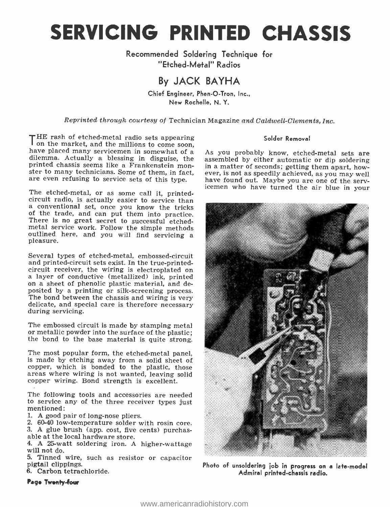SERVICING PRINTED CHASSIS

Recommended Soldering Technique for "Etched- Metal" Radios

# By JACK BAYHA

Chief Engineer, Phen-O-Tron, Inc., New Rochelle, N. Y.

Reprinted through courtesy of Technician Magazine and Caldwell -Clements, Inc.

THE rash of etched-metal radio sets appearing Solder Removal<br>
on the market, and the millions to come soon,<br>
have placed many servicemen in somewhat of a<br>
diemma. Actually a blessing in disguise, the<br>
diemma actual sets ar are even refusing to service sets of this type.

The etched-metal, or as some call it, printed-<br>circuit radio, is actually easier to service than<br>a conventional set, once you know the tricks<br>of the trade, and can put them into practice. There is no great secret to successful etched-<br>metal service work. Follow the simple methods<br>outlined here, and you will find servicing a<br>pleasure.

Several types of etched-metal, embossed-circuit<br>and printed-circuit sets exist. In the true-printedcircuit receiver, the wiring is electroplated on<br>a layer of conductive (metallized) ink, printed<br>on a sheet of phenolic plastic material, and deposited by a printing or silk- screening process. The bond between the chassis and wiring is very delicate, and special care is therefore necessary during servicing.

The embossed circuit is made by stamping metal or metallic powder into the surface of the plastic; the bond to the base material is quite strong.

The most popular form, the etched-metal panel, is made by etching away from a solid sheet of copper, which is bonded to the plastic, those areas where wiring is not wanted, leaving solid copper wiring. Bond strength is excellent.

The following tools and accessories are needed to service any of the three receiver types just mentioned:

1. A good pair of long-nose pliers.

2. 60-40 low- temperature solder with rosin core. 3. A glue brush (app. cost, five cents) purchas- able at the local hardware store.

4. A 25 -watt soldering iron. A higher- wattage will not do.

5. Tinned wire, such as resistor or capacitor pigtail clippings.

6. Carbon tetrachloride.

### Page Twanfy-four

### Solder Removal

As you probably know, etched-metal sets are assembled by either automatic or dip soldering ever, is not as speedily achieved, as you may well icemen who have turned the air blue in your



Photo of unsoldering job in progress on a late-model Admiral printed -chassis radio.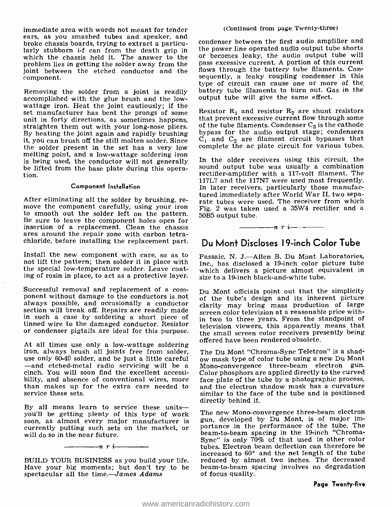immediate area with words not meant for tender ears, as you smashed tubes and speaker, and broke chassis boards, trying to extract a particularly stubborn i-f can from the death grip in the power line operated audio output tube shorts<br>which the chassis held it. The answer to the sor becomes leaky, the audio output tube will which the chassis held it. The answer to the problem lies in getting the solder away from the joint between the etched conductor and the component.

Removing the solder from a joint is readily accomplished with the glue brush and the low-<br>wattage iron. Heat the joint cautiously; if the set manufacturer has bent the prongs of some Resistor  $R_1$  and resistor  $R_2$  are shunt resistors<br>unit in forty directions, as sometimes happens, that prevent excessive current flow through some<br>straighten them out with By heating the joint again and rapidly brushing it, you can brush off the still molten solder. Since the solder present in the set has a very low melting point, and a low-wattage soldering iron is being used, the conductor will not generally be lifted from the base plate during this operation.

#### Component Installation

After eliminating all the solder by brushing, re- move the component carefully, using your iron to smooth out the solder left on the pattern. 50B5 output tube. Be sure to leave the component holes open for insertion of a replacement. Clean the chassis area around the repair zone with carbon tetrachloride, before installing the replacement part.

Install the new component with care, so as to not lift the pattern; then solder it in place with the special low- temperature solder. Leave coating of rosin in place, to act as a protective layer.

Successful removal and replacement of a com- $\overline{D}u$  Mont officials point out that the simplicity ponent without damage to the conductors is not of the tube's design and its inherent picture always possible, and occasionally a conductor section will break off. Repairs are readily made<br> $\frac{\text{error of the version at a reasonable price with}}{\text{error of the version at a reasonable price with}}$ in such a case by soldering a short piece of tinned wire to the damaged conductor. Resistor or condenser pigtails are ideal for this purpose.

At all times use only a low-wattage soldering<br>iron, always brush all joints free from solder,<br>use only 60-40 solder, and be just a little careful<br>-and etched-metal radio servicing will be a<br>cinch. You will soon find the ex bility, and absence of conventional wires, more than makes up for the extra care needed to service these sets.

By all means learn to service these unitsyou'll be getting plenty of this type of work soon, as almost every major manufacturer is currently putting such sets on the market, or will do so in the near future.

BUILD YOUR BUSINESS as you build your life. Have your big moments; but don't try to be spectacular all the time.-James Adams

 $\frac{1}{\cdots}$ n r i

condenser between the first audio amplifier and the power line operated audio output tube shorts pass excessive current. A portion of this current flows through the battery tube filaments. Consequently, a leaky coupling condenser in this type of circuit can cause one or more of the battery tube filaments to burn out. Gas in the output tube will give the same effect.

Resistor  $R_1$  and resistor  $R_2$  are shunt resistors of the tube filaments. Condenser  $C_3$  is the cathode bypass for the audio output stage; condensers  $C_1$  and  $C_2$  are filament circuit bypasses that complete the ac plate circuit for various tubes.

In the older receivers using this circuit, the sound output tube was usually a combination rectifier -amplifier with a 117 -volt filament. The 117L7 and the 117N7 were used most frequently. In later receivers, particularly those manufactured immediately after World War II, two separate tubes were used. The receiver from which Fig. 2 was taken used a  $35W4$  rectifier and a

# $\frac{1}{\sqrt{1-\frac{1}{\sqrt{1-\frac{1}{\sqrt{1-\frac{1}{\sqrt{1-\frac{1}{\sqrt{1-\frac{1}{\sqrt{1-\frac{1}{\sqrt{1-\frac{1}{\sqrt{1-\frac{1}{\sqrt{1-\frac{1}{\sqrt{1-\frac{1}{\sqrt{1-\frac{1}{\sqrt{1-\frac{1}{\sqrt{1-\frac{1}{\sqrt{1-\frac{1}{\sqrt{1-\frac{1}{\sqrt{1-\frac{1}{\sqrt{1-\frac{1}{\sqrt{1-\frac{1}{\sqrt{1-\frac{1}{\sqrt{1-\frac{1}{\sqrt{1-\frac{1}{\sqrt{1-\frac{1}{\sqrt{1-\frac{1}{\sqrt{1-\frac{1$ Du Mont Discloses I9 -inch Color Tube

Passaic, N. J.-Allen B. Du Mont Laboratories, Inc., has disclosed a 19 -inch color picture tube which delivers a picture almost equivalent in size to a 19-inch black-and-white tube.

Du Mont officials point out that the simplicity clarity may bring mass production of large in two to three years. From the standpoint of television viewers, this apparently means that the small screen color receivers presently being offered have been rendered obsolete.

The Du Mont "Chroma -Sync Teletron" is a shad- ow mask type of color tube using a new Du Mont Mono -convergence three -beam electron gun. Color phosphors are applied directly to the curved face plate of the tube by a photographic process, and the electron shadow mask has a curvature similar to the face of the tube and is positioned directly behind it.

The new Mono-convergence three-beam electron gun, developed by Du Mont, is of major importance in the performance of the tube. The beam -to -beam spacing in the 19 -inch "Chroma-Sync" is only 70% of that used in other color tubes. Electron beam deflection can therefore be increased to 60° and the net length of the tube reduced by almost two inches. The decreased beam -to -beam spacing involves no degradation of focus quality.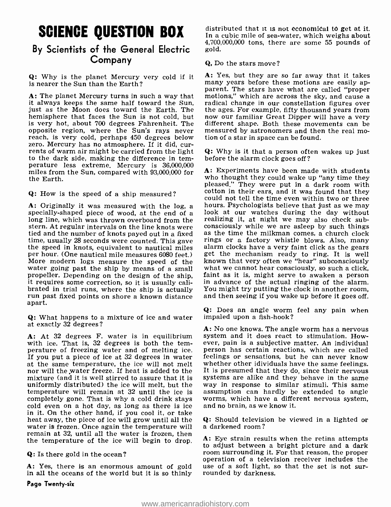# SCIENCE QUESTION BOX

### By Scientists of the General Electric Company

Q: Why is the planet Mercury very cold if it is nearer the Sun than the Earth?

A: The planet Mercury turns in such a way that motions," which are across the sky, and cause a<br>it always keeps the same half toward the Sun, radical change in our constellation figures over it always keeps the same half toward the Sun, radical change in our constellation figures over<br>just as the Moon does toward the Earth. The the ages. For example, fifty thousand years from<br>hemisphere that faces the Sun is n hemisphere that faces the Sun is not cold, but now our familiar Great Dipper will have a very<br>is very hot, about 700 degrees Fahrenheit. The different shape. Both these movements can be is very hot, about 700 degrees Fahrenheit. The opposite region, where the Sun's rays never measured by astronomers and the reach, is very cold, perhaps 450 degrees below tion of a star in space can be found. zero. Mercury has no atmosphere. If it did, cur-<br>rents of warm air might be carried from the light  $Q$ : Why is it that a person oft<br>to the dark side, making the difference in tem-<br>before the alarm clock goes off? to the dark side, making the difference in temperature less extreme. Mercury is 36,000,000 miles from the Sun, compared with 93,000,000 for the Earth.

Q: How is the speed of a ship measured?

A: Originally it was measured with the log, a hours. Psychologists believe that just as we may specially-shaped piece of wood, at the end of a look at our watches during the day without long line, which was thrown overboar stern. At regular intervals on the line knots were consciously while we are asleep by such things<br>tied and the number of knots payed out in a fixed as the time the milkman comes, a church clock<br>time, usually 28 seconds wer time, usually 28 seconds were counted. This gave rings or a factory whistle blows. Also, many the speed in knots, equivalent to nautical miles alarm clocks have a very faint click as the gears per hour. (One nautical mile More modern logs measure the speed of the known that very often we "hear" subconsciously water going past the ship by means of a small what we cannot hear consciously, so such a click, water going past the ship by means of a small what we cannot hear consciously, so such a click, propeller. Depending on the design of the ship. faint as it is, might serve to awaken a person propeller. Depending on the design of the ship, it requires some correction, so it is usually calibrated in trial runs, where the ship is actually You might try putting the clock in another room, run past fixed points on shore a known distance apart.

Q: What happens to a mixture of ice and water at exactly 32 degrees?

A: At 32 degrees F. water is in equilibrium with ice. That is, 32 degrees is both the temperature of freezing water and of melting ice. If you put a piece of ice at 32 degrees in water feelings or sensations, but he can never know<br>at the same temperature, the ice will not melt whether other idividuals have the same feelings. at the same temperature, the ice will not melt nor will the water freeze. If heat is added to the It is presumed that they do, since their nervous mixture (and it is well stirred to assure that it is systems are alike and they behave in the same mixture (and it is well stirred to assure that it is systems are alike and they behave in the same uniformly distributed) the ice will melt, but the way in response to similar stimuli. This same uniformly distributed) the ice will melt, but the temperature will remain at 32 until the ice is completely gone. That is why a cold drink stays worms, which have a diffe cold even on a hot day, as long as there is ice and no brain, as we know it. in it. On the other hand, if you cool it, or take heat away, the piece of ice will grow until all the  $Q$ : Should televisi water is frozen. Once again the temperature will a darkened room? water is frozen. Once again the temperature will remain at 32, until all the water is frozen, then the temperature of the ice will begin to drop.

Q: Is there gold in the ocean?

Page Twenty-six

distributed that it is not economical to get at it. In a cubic mile of sea-water, which weighs about 4,700,000,000 tons, there are some 55 pounds of gold.

### Q, Do the stars move?

A: Yes, but they are so far away that it takes many years before these motions are easily apparent. The stars have what are called "proper measured by astronomers and then the real mo-

Q: Why is it that a person often wakes up just

A: Experiments have been made with students who thought they could wake up "any time they pleased." They were put in a dark room with cotton in their ears, and it was found that they could not tell the time even within two or three look at our watches during the day without realizing it, at night we may also check subconsciously while we are as teep by such things get the mechanism ready to ring. It is well known that very often we "hear" subconsciously what we cannot hear consciously, so such a click, faint as it is, might serve to awaken a person in advance of the actual ringing of the alarm. and then seeing if you wake up before it goes off.

Q: Does an angle worm feel any pain when impaled upon a fish-hook?

A: No one knows. The angle worm has a nervous system and it does react to stimulation. However, pain is a subjective matter. An individual person has certain reactions, which are called feelings or sensations, but he can never know It is presumed that they do, since their nervous assumption can hardly be extended to angle worms, which have a different nervous system,

 $Q:$  Should television be viewed in a lighted or

operation of a television receiver includes the<br>A: Yes, there is an enormous amount of gold use of a soft light, so that the set is not sur-<br>in all the oceans of the world but it is so thinly rounded by darkness. A: Eye strain results when the retina attempts to adjust between a bright picture and a dark<br>room surrounding it. For that reason, the proper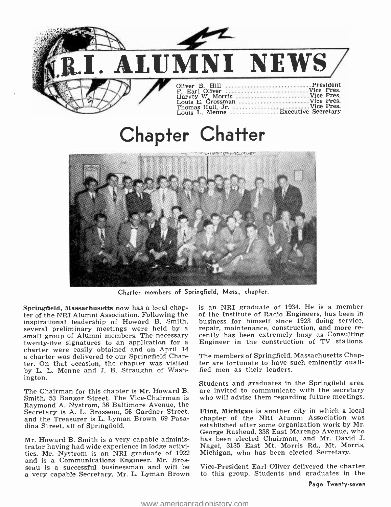

# Chapter Chatter



Charter members of Springfield, Mass., chapter.

Springfield, Massachusetts now has a local chapter of the NRI Alumni Association. Following the inspirational leadership of Howard B. Smith, small group of Alumni members. The necessary cently has been extremely busy as Consulting twenty -five signatures to an application for a charter were easily obtained and on April 14 a charter was delivered to our Springfield Chapter. On that occasion, the chapter was visited by L. L. Menne and J. B. Straughn of Washington.

The Chairman for this chapter is Mr. Howard B. Smith, 53 Bangor Street. The Vice -Chairman is Raymond A. Nystrom, 36 Baltimore Avenue, the Secretary is A. L. Brosseau, 56 Gardner Street, Flint, Michigan is another city in which a local and the Treasurer is L. Lyman Brown, 69 Pasa- chapter of the NRI Alumni Association was and the Treasurer is L. Lyman Brown, 69 Pasadina Street, all of Springfield.

Mr. Howard B. Smith is a very capable administrator having had wide experience in lodge activities. Mr. Nystrom is an NRI graduate of 1922 and is a Communications Engineer. Mr. Brosseau is a successful businessman and will be a very capable Secretary. Mr. L. Lyman Brown is an NRI graduate of 1934. He is a member of the Institute of Radio Engineers, has been in business for himself since 1923 doing service, repair, maintenance, construction, and more re-Engineer in the construction of TV stations.

The members of Springfield, Massachusetts Chapter are fortunate to have such eminently qualified men as their leaders.

Students and graduates in the Springfield area are invited to communicate with the secretary who will advise them regarding future meetings.

Flint, Michigan is another city in which a local established after some organization work by Mr. George Rashead, 338 East Marengo Avenue, who has been elected Chairman, and Mr. David J. Nagel, 3135 East Mt. Morris Rd., Mt. Morris, Michigan, who has been elected Secretary.

Vice -President Earl Oliver delivered the charter to this group. Students and graduates in the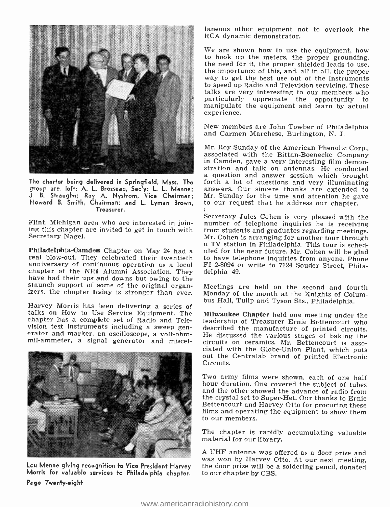

group are, left: A. L. Brosseau, Sec<sup>ty</sup>; L. L. Menne; J. B. Straughn; Ray A. Nystrom, Vice Chairman; Howard B. Smith, Chairman; and L. Lyman Brown, Treasurer.

Secretary Nagel.

Philadelphia-Camden Chapter on May 24 had a uled for the near future. Mr. Cohen will be glad real blow-out. They celebrated their twentieth to have telephone inquiries from anyone. Phone anniversary of continuous operation chapter of the NRI Alumni Association. They<br>have had their ups and downs but owing to the<br>staunch support of some of the original organ-<br>izers, the chapter today is stronger than ever.

Harvey Morris has been delivering a series of talks on How to Use Service Equipment. The chapter has a complete set of Radio and Television test instruments including a sweep generator and marker, an oscilloscope, a volt-ohmmil- ammeter, a signal generator and miscel-



Page Twenty -eight

laneous other equipment not to overlook the RCA dynamic demonstrator.

We are shown how to use the equipment, how<br>to hook up the meters, the proper grounding, the need for it, the proper shielded leads to use, the importance of this, and, all in all, the proper way to get the best use out of the instruments to speed up Radio and Television servicing. These talks are very interesting to our members who particularly appreciate the opportunity to manipulate the equipment and learn by actual experience.

New members are John Towber of Philadelphia and Carmen Marchese, Burlington, N. J.

a question and answer session which brought<br>The charter being delivered in Springfield, Mass. The forth a lot of questions and very illuminating<br>group are, left: A. L. Brosseau, Sec'y: L. L. Menne: answers. Our sincere tha Mr. Roy Sunday of the American Phenolic Corp., associated with the Bittan -Boenecke Company in Camden, gave a very interesting film demonstration and talk on antennas. He conducted Mr. Sunday for the time and attention he gave to our request that he address our chapter.

Flint, Michigan area who are interested in join-<br>ing this chapter are invited to get in touch with from students and graduates regarding meetings.<br>Secretary Nagel.<br>Mr. Cohen is arranging for another tour through Secretary Jules Cohen is very pleased with the a TV station in Philadelphia. This tour is scheduled for the near future. Mr. Cohen will be glad delphia 49.

> Meetings are held on the second and fourth Monday of the month at the Knights of Columbus Hall, Tulip and Tyson Sts., Philadelphia.

> Milwaukee Chapter held one meeting under the leadership of Treasurer Ernie Bettencourt who described the manufacture of printed circuits.<br>He discussed the various stages of baking the circuits on ceramics. Mr. Bettencourt is asso-<br>ciated with the Globe-Union Plant, which puts<br>out the Centralab brand of printed Electronic Circuits.

> Two army films were shown, each of one half hour duration. One covered the subject of tubes and the other showed the advance of radio from the crystal set to Super-Het. Our thanks to Ernie<br>Bettencourt and Harvey Otto for procuring these films and operating the equipment to show them to our members.

> The chapter is rapidly accumulating valuable material for our library.

was won by Harvey Otto. At our next meeting,<br>Lou Menne giving recognition to Vice President Harvey the door prize will be a soldering pencil, donated<br>Morris for valuable services to Philadelphia chapter. to our chapter by A UHF antenna was offered as a door prize and to our chapter by CBS.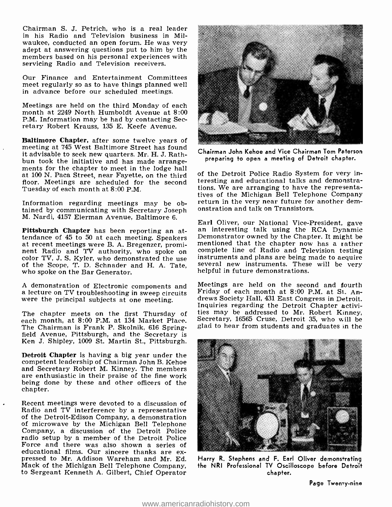Chairman S. J. Petrich, who is a real leader in his Radio and Television business in Milwaukee, conducted an open forum. He was very adept at answering questions put to him by the members based on his personal experiences with servicing Radio and Television receivers.

Our Finance and Entertainment Committees meet regularly so as to have things planned well in advance before our scheduled meetings.

Meetings are held on the third Monday of each month at 2249 North Humboldt Avenue at 8:00 P.M. Information may be had by contacting Secretary Robert Krauss, 135 E. Keefe Avenue.

Baltimore Chapter, after some twelve years of meeting at 745 West Baltimore Street has found it advisable to seek new quarters. Mr. H. J. Rathments for the chapter to meet in the lodge hall at 100 N. Paca Street, near Fayette, on the third floor. Meetings are scheduled for the second Tuesday of each month at 8:00 P.M.

Information regarding meetings may be obtained by communicating with Secretary Joseph M. Nardi, 4157 Eierman Avenue, Baltimore 6.

Pittsburgh Chapter has been reporting an attendance of 45 to 50 at each meeting. Speakers<br>at recent meetings were B. A. Bregenzer, promi-<br>nent Radio and TV authority, who spoke on<br>color TV, J. S. Kyler, who demonstrated the use<br>of the Scope, T. D. Schnader and H. A

<sup>A</sup>demonstration of Electronic components and a lecture on TV troubleshooting in sweep circuits were the principal subjects at one meeting.

each month, at 8:00 P.M. at 134 Market Place.<br>The Chairman is Frank P. Skolnik, 616 Springfield Avenue, Pittsburgh, and the Secretary is Ken J. Shipley, 1009 St. Martin St., Pittsburgh.

Detroit Chapter is having a big year under the competent leadership of Chairman John B. Kehoe and Secretary Robert M. Kinney. The members are enthusiastic in their praise of the fine work being done by these and other officers of the chapter.

Recent meetings were devoted to a discussion of Radio and TV interference by a representative of the Detroit-Edison Company, a demonstration of microwave by the Michigan Bell Telephone Company, a discussion of the Detroit Police radio setup by a member of the Detroit Police Force and there was also shown a series of educational films. Our sincere thanks are expressed to Mr. Addison Wareham and Mr. Ed. Mack of the Michigan Bell Telephone Company, to Sergeant Kenneth A. Gilbert, Chief Operator



Chairman John Kehoe and Vice Chairman Tom Paterson preparing to open a meeting of Detroit chapter.

of the Detroit Police Radio System for very interesting and educational talks and demonstrations. We are arranging to have the representatives of the Michigan Bell Telephone Company return in the very near future for another demonstration and talk on Transistors.

Earl Oliver, our National Vice -President, gave an interesting talk using the RCA Dynamic Demonstrator owned by the Chapter. It might be mentioned that the chapter now has a rather complete line of Radio and Television testing<br>instruments and plans are being made to acquire<br>several new instruments. These will be very<br>helpful in future demonstrations.

The chapter meets on the first Thursday of ties may be addressed to Mr. Robert Kinney, Meetings are held on the second and fourth Friday of each month at 8:00 P.M. at St. Andrews Society Hall, 431 East Congress in Detroit. Inquiries regarding the Detroit Chapter activi-Secretary, 16565 Cruse, Detroit 35, who will be glad to hear from students and graduates in the



Harry R. Stephens and F. Earl Oliver demonstrating the NRI Professional TV Oscilloscope before Detroit chapter.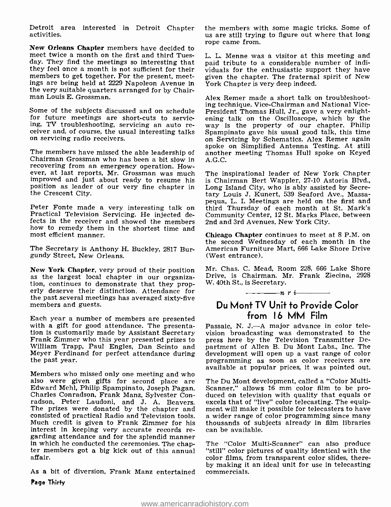Detroit area interested in Detroit Chapter activities.

New Orleans Chapter members have decided to meet twice a month on the first and third Tuesday. They find the meetings so interesting that they feel once a month is not sufficient for their members to get together. For the present, meetings are being held at 2229 Napoleon Avenue in the very suitable quarters arranged for by Chair- man Louis E. Grossman.

Some of the subjects discussed and on schedule Fresident Thomas Hull, Jr., gave a very enlight-<br>for future meetings are short-cuts to servic- ening talk on the Oscilloscope, which by the for future meetings are short-cuts to servicing, TV troubleshooting, servicing an auto receiver and, of course, the usual interesting talks on servicing radio receivers.

The members have missed the able leadership of Chairman Grossman who has been a bit slow in recovering from an emergency operation. However, at last reports, Mr. Grossman was much improved and just about ready to resume his position as leader of our very fine chapter in the Crescent City.

Peter Fonte made a very interesting talk on Practical Television Servicing. He injected defects in the receiver and showed the members how to remedy them in the shortest time and most efficient manner.

The Secretary is Anthony H. Buckley, 2817 Burgundy Street, New Orleans.

New York Chapter, very proud of their position as the largest local chapter in our organization, continues to demonstrate that they properly deserve their distinction. Attendance for the past several meetings has averaged sixty-five members and guests.

Each year a number of members are presented with a gift for good attendance. The presentation is customarily made by Assistant Secretary Frank Zimmer who this year presented prizes to William Trapp, Paul Engles, Dan Scinto and Meyer Ferdinand for perfect attendance during the past year.

Members who missed only one meeting and who<br>also were given gifts for second place are The Du Mont development, called a "Color Multialso were given gifts for second place are<br>Edward Mehl, Philip Spampinato, Joseph Pagan, Charles Conradson, Frank Manz, Sylvester Con-<br>
radson, Peter Laudoni, and J. A. Beavers. excels that of "live" color telecasting. The equip-<br>
The prizes were donated by the chapter and ment will make it possible for teleca The prizes were donated by the chapter and consisted of practical Radio and Television tools. Much credit is given to Frank Zimmer for his thousands of sul-<br>interest in keeping very accurate records re- can be available. interest in keeping very accurate records re- garding attendance and for the splendid manner in which he conducted the ceremonies. The chap- ter members got a big kick out of this annual affair.

As a bit of diversion, Frank Manz entertained Page Thirty

the members with some magic tricks. Some of us are still trying to figure out where that long rope came from.

L. L. Menne was a visitor at this meeting and paid tribute to a considerable number of individuals for the enthusiastic support they have given the chapter. The fraternal spirit of New York Chapter is very deep indeed.

Alex Remer made a short talk on troubleshooting technique. Vice-Chairman and National Viceway is the property of our chapter. Philip Spampinato gave his usual good talk, this time on Servicing by Schematics. Alex Remer again spoke on Simplified Antenna Testing. At still another meeting Thomas Hull spoke on Keyed A.G.C.

The inspirational leader of New York Chapter is Chairman Bert Wappler, 27-10 Astoria Blvd., Long Island City, who is ably assisted by Secretary Louis J. Kunert, 539 Seaford Ave., Massapequa, L. I. Meetings are held on the first and third Thursday of each month at St. Mark's Community Center, 12 St. Marks Place, between 2nd and 3rd Avenues, New York City.

Chicago Chapter continues to meet at 8 P.M. on the second Wednesday of each month in the American Furniture Mart, 666 Lake Shore Drive (West entrance).

Mr. Chas. C. Mead, Room 228, 666 Lake Shore Drive, is Chairman. Mr. Frank Ziecina, 2928 W. 40th St., is Secretary.<br> $\frac{n}{1-\epsilon}$   $\frac{n}{r}$   $\frac{n}{r}$ 

### Du Mont TV Unit to Provide Color from 16 MM Film

Passaic, N. J.--A major advance in color television broadcasting was demonstrated to the press here by the Television Transmitter Department of Allen B. Du Mont Labs., Inc. The development will open up a vast range of color programming as soon as color receivers are available at popular prices, it was pointed out.

Scanner," allows 16 mm color film to be produced on television with quality that equals or a wider range of color programming since many thousands of subjects already in film libraries

The "Color Multi-Scanner" can also produce "still" color pictures of quality identical with the color films, from transparent color slides, thereby making it an ideal unit for use in telecasting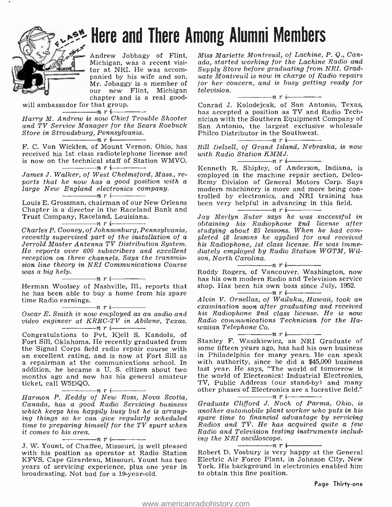

# Here and There Among Alumni Members

Andrew Jobbagy of Flint, Michigan, was a recent visipanied by his wife and son.<br>Mr. Jobaggy is a member of<br>our new Flint, Michigan<br>chapter and is a real good-

will ambassador for that group.<br> $\frac{m}{r}$   $\frac{n}{r}$ 

Harry M. Andrew is now Chief Trouble Shooter

and TV Service Manager for the Sears Roebuck Store in Stroudsburg, Pennsylvania.<br>  $\frac{1}{\sqrt{1-\frac{1}{n}}}\sum_{i=1}^{n}$ 

F. C. Von Wicklen, of Mount Vernon, Ohio, has Bill Delzell, of Grand Isla received his 1st class radiotelephone license and with Radio Station KMMJ. received his 1st class radiotelephone license and is now on the technical staff of Station WMVO.

large New England electronics company.<br>  $\frac{m}{n}$   $\frac{m}{n}$   $\frac{m}{n}$   $\frac{m}{n}$ 

Louis E. Grossman, chairman of our New Orleans Chapter is a director in the Raceland Bank and

Trust Company, Raceland, Louisiana.<br>
Charles P. Cooney, of Johnsonburg, Pennsylvania, recently supervised part of the installation of a pleted  $\frac{1}{2}$  lessons he applied for and received Jerrold Master Antenna TV Distribution System. He reports over 600 subscribers and excellent reception on three channels. Says the transmission line theory in NRI Communications Course was <sup>a</sup>big help. nri

Herman Woolsey of Nashville, Ill., reports that he has been able to buy a home from his spare<br>time Radio earnings.<br> $\frac{n}{1-\cdots}$   $\frac{n}{r}$  i

video engineer at KRBC-TV in Abilene, Texas.

Congratulations to Pvt. Kjell S. Kandola, of Fort Sill, Oklahoma. He recently graduated from Stanley F. Waszkiewicz, an NRI Graduate of the Signal Corps field radio repair course with some fifteen years ago, has had his own business the Signal Corps field radio repair course with an excellent rating, and is now at Fort Sill as a in Philadelphia for many years. He can speak<br>a repairman at the communications school. In with authority, since he did a \$45,000 business addition, he became a U. S. citizen about two months ago and now has his general amateur ticket, call W5DQO.<br> $\frac{m}{1-m}$   $\frac{n}{r}$   $\frac{n}{r}$ 

Harmon P. Keddy of New Ross, Nova Scotia, Canada, has a good Radio Servicing business which keeps him happily busy but he is arrangtime to preparing himself for the TV spurt when

it comes to his area. nri with his position as operator at Radio Station KFVS, Cape Girardeau, Missouri. Yount has two years of servicing experience, plus one year in broadcasting. Not bad for a 19-year-old.

Miss Mariette Montreuil, of Lachine, P. Q., Canada, started working for the Lachine Radio and Supply Store before graduating from NRI. Gradfor her concern, and is busy getting ready for television.<br> $\frac{1}{\sqrt{1-\frac{1}{n}}}\frac{1}{\sqrt{n}}$ 

Conrad J. Kolodejcak, of San Antonio, Texas, has accepted a position as TV and Radio Technician with the Southern Equipment Company of San Antonio, the largest exclusive wholesale Philco Distributor in the Southwest.<br>  $\frac{m}{1}$   $\frac{m}{1}$   $\frac{m}{1}$ 

Bill Delzell, of Grand Island, Nebraska, is now with Radio Station KMMJ. nri

James J. Walker, of West Chelmsford, Mass., re-<br>ports that he now has a good position with a Remy Division of General Motors Corp. Says<br>large New England electronics company. modern machinery is more and more being con-Kenneth R. Shipley, of Anderson, Indiana, is employed in the machine repair section, Delco-Remy Division of General Motors Corp. Says trolled by electronics, and NRI training has been very helpful in advancing in this field.

Jay Merlyn Suter says he was successful in obtaining his Radiophone 2nd license after studying about 25 lessons. When he had com- pleted 42 lessons he applied for and received his Radiophone, 1st class license. He was immediately employed by Radio Station WGTM, Wilson, North Carolina.<br> $\frac{1}{\sqrt{1-\frac{1}{n}}}\cdot r$  i

Roddy Rogers, of Vancouver, Washington, now has his own modern Radio and Television service shop. Has been his own boss since July, 1952.

 $Oscar E. Smith is now employed as an audio and  $histi>l is Radiophone 2nd class license. He is now video enaineer at KRRC-TV in Abilene. Teras. Radio communications Technician for the Ha-$$ Alvin V. Ornellas, of Wailuku, Hawaii, took an examination soon after graduating and received his Radiophone 2nd class license. He is now waiian Telephone Co. nri

Stanley F. Waszkiewicz, an NRI Graduate of in Philadelphia for many years. He can speak last year. He says, "The world of tomorrow is the world of Electronics! Industrial Electronics, TV, Public Address (our stand-by) and many other phases of Electronics are a lucrative field."

ing things so he can give regularly scheduled – spare time to financial advantage by servicing<br>time to preparing himself for the TV spurt when – Radios and TV. He has acquired quite a few Graduate Clifford J. Noch of Parma, Ohio, is another automobile plant worker who puts in his spare time to financial advantage by servicing Radio and Television testing instruments including the NRI oscilloscope.<br> $\overline{n}$   $\overline{r}$   $\overline{r}$ 

Robert D. Vosbury is very happy at the General Electric Air Force Plant, in Johnson City, New York. His background in electronics enabled him to obtain this fine position.